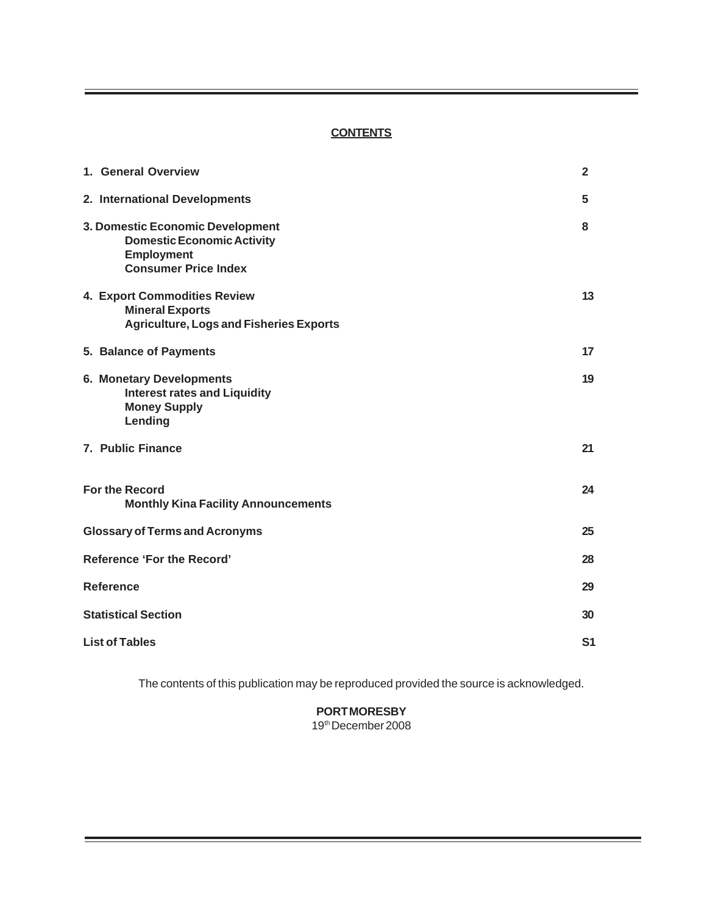# **CONTENTS**

| 1. General Overview                                                                                                       | $\overline{2}$ |
|---------------------------------------------------------------------------------------------------------------------------|----------------|
| 2. International Developments                                                                                             | 5              |
| 3. Domestic Economic Development<br><b>Domestic Economic Activity</b><br><b>Employment</b><br><b>Consumer Price Index</b> | 8              |
| 4. Export Commodities Review<br><b>Mineral Exports</b><br><b>Agriculture, Logs and Fisheries Exports</b>                  | 13             |
| 5. Balance of Payments                                                                                                    | 17             |
| <b>6. Monetary Developments</b><br><b>Interest rates and Liquidity</b><br><b>Money Supply</b><br>Lending                  | 19             |
| 7. Public Finance                                                                                                         | 21             |
| For the Record<br><b>Monthly Kina Facility Announcements</b>                                                              | 24             |
| <b>Glossary of Terms and Acronyms</b>                                                                                     | 25             |
| <b>Reference 'For the Record'</b>                                                                                         | 28             |
| <b>Reference</b>                                                                                                          | 29             |
| <b>Statistical Section</b>                                                                                                | 30             |
| <b>List of Tables</b>                                                                                                     |                |

The contents of this publication may be reproduced provided the source is acknowledged.

**PORT MORESBY** 19th December 2008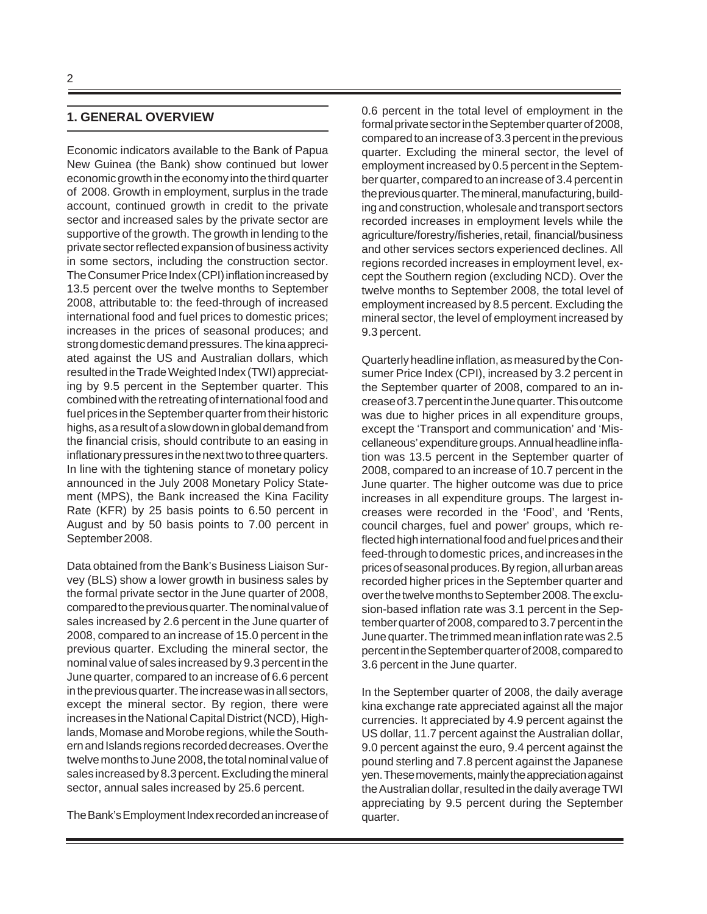# **1. GENERAL OVERVIEW**

Economic indicators available to the Bank of Papua New Guinea (the Bank) show continued but lower economic growth in the economy into the third quarter of 2008. Growth in employment, surplus in the trade account, continued growth in credit to the private sector and increased sales by the private sector are supportive of the growth. The growth in lending to the private sector reflected expansion of business activity in some sectors, including the construction sector. The Consumer Price Index (CPI) inflation increased by 13.5 percent over the twelve months to September 2008, attributable to: the feed-through of increased international food and fuel prices to domestic prices; increases in the prices of seasonal produces; and strong domestic demand pressures. The kina appreciated against the US and Australian dollars, which resulted in the Trade Weighted Index (TWI) appreciating by 9.5 percent in the September quarter. This combined with the retreating of international food and fuel prices in the September quarter from their historic highs, as a result of a slow down in global demand from the financial crisis, should contribute to an easing in inflationary pressures in the next two to three quarters. In line with the tightening stance of monetary policy announced in the July 2008 Monetary Policy Statement (MPS), the Bank increased the Kina Facility Rate (KFR) by 25 basis points to 6.50 percent in August and by 50 basis points to 7.00 percent in September 2008.

Data obtained from the Bank's Business Liaison Survey (BLS) show a lower growth in business sales by the formal private sector in the June quarter of 2008, compared to the previous quarter. The nominal value of sales increased by 2.6 percent in the June quarter of 2008, compared to an increase of 15.0 percent in the previous quarter. Excluding the mineral sector, the nominal value of sales increased by 9.3 percent in the June quarter, compared to an increase of 6.6 percent in the previous quarter. The increase was in all sectors, except the mineral sector. By region, there were increases in the National Capital District (NCD), Highlands, Momase and Morobe regions, while the Southern and Islands regions recorded decreases. Over the twelve months to June 2008, the total nominal value of sales increased by 8.3 percent. Excluding the mineral sector, annual sales increased by 25.6 percent.

The Bank's Employment Index recorded an increase of

0.6 percent in the total level of employment in the formal private sector in the September quarter of 2008, compared to an increase of 3.3 percent in the previous quarter. Excluding the mineral sector, the level of employment increased by 0.5 percent in the September quarter, compared to an increase of 3.4 percent in the previous quarter. The mineral, manufacturing, building and construction, wholesale and transport sectors recorded increases in employment levels while the agriculture/forestry/fisheries, retail, financial/business and other services sectors experienced declines. All regions recorded increases in employment level, except the Southern region (excluding NCD). Over the twelve months to September 2008, the total level of employment increased by 8.5 percent. Excluding the mineral sector, the level of employment increased by 9.3 percent.

Quarterly headline inflation, as measured by the Consumer Price Index (CPI), increased by 3.2 percent in the September quarter of 2008, compared to an increase of 3.7 percent in the June quarter. This outcome was due to higher prices in all expenditure groups, except the 'Transport and communication' and 'Miscellaneous' expenditure groups. Annual headline inflation was 13.5 percent in the September quarter of 2008, compared to an increase of 10.7 percent in the June quarter. The higher outcome was due to price increases in all expenditure groups. The largest increases were recorded in the 'Food', and 'Rents, council charges, fuel and power' groups, which reflected high international food and fuel prices and their feed-through to domestic prices, and increases in the prices of seasonal produces. By region, all urban areas recorded higher prices in the September quarter and over the twelve months to September 2008. The exclusion-based inflation rate was 3.1 percent in the September quarter of 2008, compared to 3.7 percent in the June quarter. The trimmed mean inflation rate was 2.5 percent in the September quarter of 2008, compared to 3.6 percent in the June quarter.

In the September quarter of 2008, the daily average kina exchange rate appreciated against all the major currencies. It appreciated by 4.9 percent against the US dollar, 11.7 percent against the Australian dollar, 9.0 percent against the euro, 9.4 percent against the pound sterling and 7.8 percent against the Japanese yen. These movements, mainly the appreciation against the Australian dollar, resulted in the daily average TWI appreciating by 9.5 percent during the September quarter.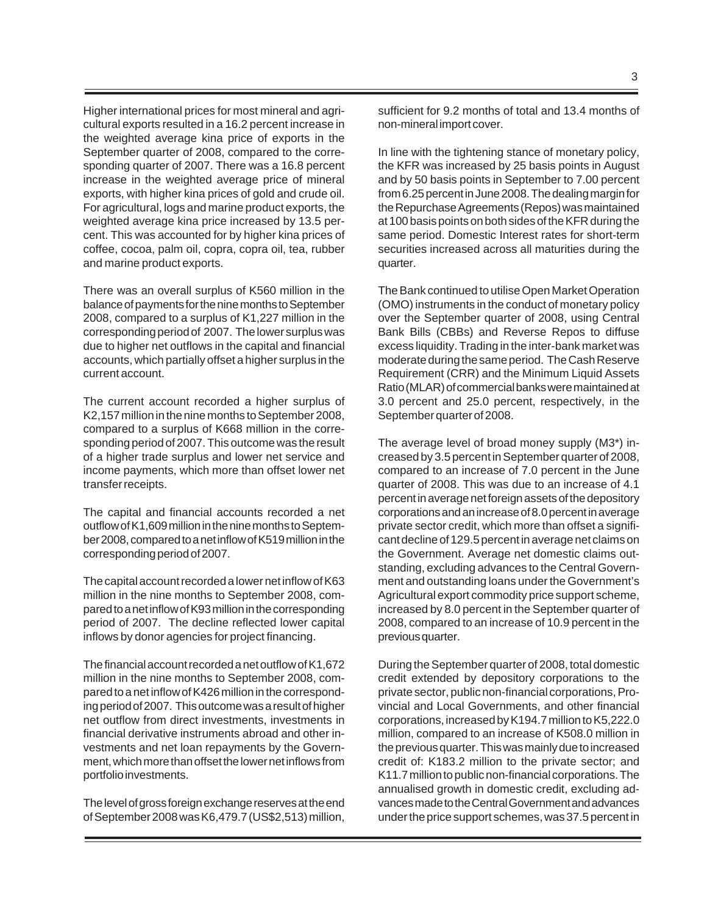Higher international prices for most mineral and agricultural exports resulted in a 16.2 percent increase in the weighted average kina price of exports in the September quarter of 2008, compared to the corresponding quarter of 2007. There was a 16.8 percent increase in the weighted average price of mineral exports, with higher kina prices of gold and crude oil. For agricultural, logs and marine product exports, the weighted average kina price increased by 13.5 percent. This was accounted for by higher kina prices of coffee, cocoa, palm oil, copra, copra oil, tea, rubber and marine product exports.

There was an overall surplus of K560 million in the balance of payments for the nine months to September 2008, compared to a surplus of K1,227 million in the corresponding period of 2007. The lower surplus was due to higher net outflows in the capital and financial accounts, which partially offset a higher surplus in the current account.

The current account recorded a higher surplus of K2,157 million in the nine months to September 2008, compared to a surplus of K668 million in the corresponding period of 2007. This outcome was the result of a higher trade surplus and lower net service and income payments, which more than offset lower net transfer receipts.

The capital and financial accounts recorded a net outflow of K1,609 million in the nine months to September 2008, compared to a net inflow of K519 million in the corresponding period of 2007.

The capital account recorded a lower net inflow of K63 million in the nine months to September 2008, compared to a net inflow of K93 million in the corresponding period of 2007. The decline reflected lower capital inflows by donor agencies for project financing.

The financial account recorded a net outflow of K1,672 million in the nine months to September 2008, compared to a net inflow of K426 million in the corresponding period of 2007. This outcome was a result of higher net outflow from direct investments, investments in financial derivative instruments abroad and other investments and net loan repayments by the Government, which more than offset the lower net inflows from portfolio investments.

The level of gross foreign exchange reserves at the end of September 2008 was K6,479.7 (US\$2,513) million,

sufficient for 9.2 months of total and 13.4 months of non-mineral import cover.

In line with the tightening stance of monetary policy, the KFR was increased by 25 basis points in August and by 50 basis points in September to 7.00 percent from 6.25 percent in June 2008. The dealing margin for the Repurchase Agreements (Repos) was maintained at 100 basis points on both sides of the KFR during the same period. Domestic Interest rates for short-term securities increased across all maturities during the quarter.

The Bank continued to utilise Open Market Operation (OMO) instruments in the conduct of monetary policy over the September quarter of 2008, using Central Bank Bills (CBBs) and Reverse Repos to diffuse excess liquidity. Trading in the inter-bank market was moderate during the same period. The Cash Reserve Requirement (CRR) and the Minimum Liquid Assets Ratio (MLAR) of commercial banks were maintained at 3.0 percent and 25.0 percent, respectively, in the September quarter of 2008.

The average level of broad money supply (M3\*) increased by 3.5 percent in September quarter of 2008, compared to an increase of 7.0 percent in the June quarter of 2008. This was due to an increase of 4.1 percent in average net foreign assets of the depository corporations and an increase of 8.0 percent in average private sector credit, which more than offset a significant decline of 129.5 percent in average net claims on the Government. Average net domestic claims outstanding, excluding advances to the Central Government and outstanding loans under the Government's Agricultural export commodity price support scheme, increased by 8.0 percent in the September quarter of 2008, compared to an increase of 10.9 percent in the previous quarter.

During the September quarter of 2008, total domestic credit extended by depository corporations to the private sector, public non-financial corporations, Provincial and Local Governments, and other financial corporations, increased by K194.7 million to K5,222.0 million, compared to an increase of K508.0 million in the previous quarter. This was mainly due to increased credit of: K183.2 million to the private sector; and K11.7 million to public non-financial corporations. The annualised growth in domestic credit, excluding advances made to the Central Government and advances under the price support schemes, was 37.5 percent in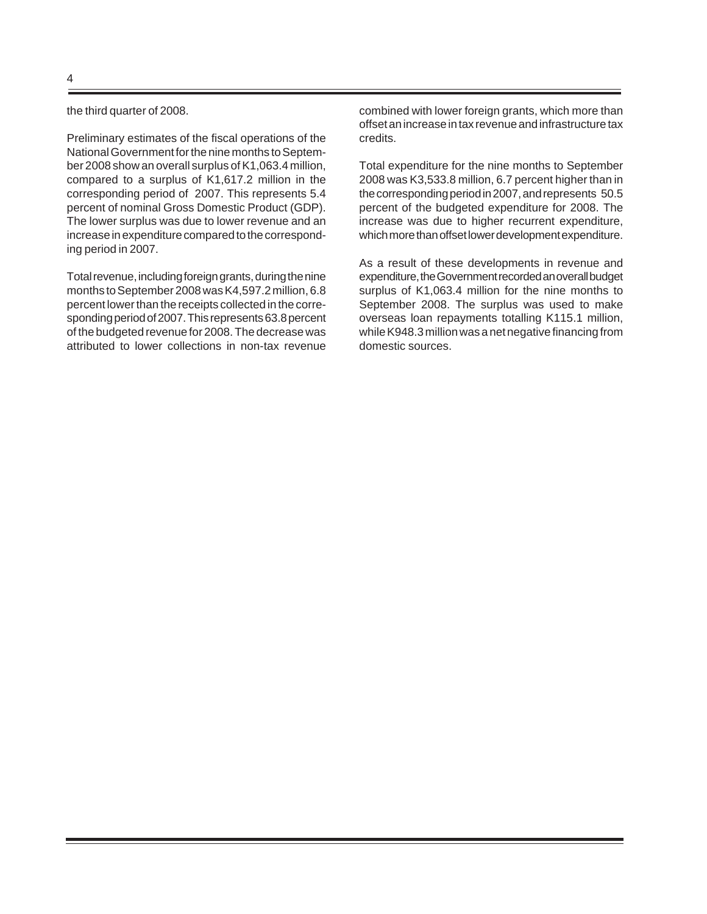the third quarter of 2008.

Preliminary estimates of the fiscal operations of the National Government for the nine months to September 2008 show an overall surplus of K1,063.4 million, compared to a surplus of K1,617.2 million in the corresponding period of 2007. This represents 5.4 percent of nominal Gross Domestic Product (GDP). The lower surplus was due to lower revenue and an increase in expenditure compared to the corresponding period in 2007.

Total revenue, including foreign grants, during the nine months to September 2008 was K4,597.2 million, 6.8 percent lower than the receipts collected in the corresponding period of 2007. This represents 63.8 percent of the budgeted revenue for 2008. The decrease was attributed to lower collections in non-tax revenue

combined with lower foreign grants, which more than offset an increase in tax revenue and infrastructure tax credits.

Total expenditure for the nine months to September 2008 was K3,533.8 million, 6.7 percent higher than in the corresponding period in 2007, and represents 50.5 percent of the budgeted expenditure for 2008. The increase was due to higher recurrent expenditure, which more than offset lower development expenditure.

As a result of these developments in revenue and expenditure, the Government recorded an overall budget surplus of K1,063.4 million for the nine months to September 2008. The surplus was used to make overseas loan repayments totalling K115.1 million, while K948.3 million was a net negative financing from domestic sources.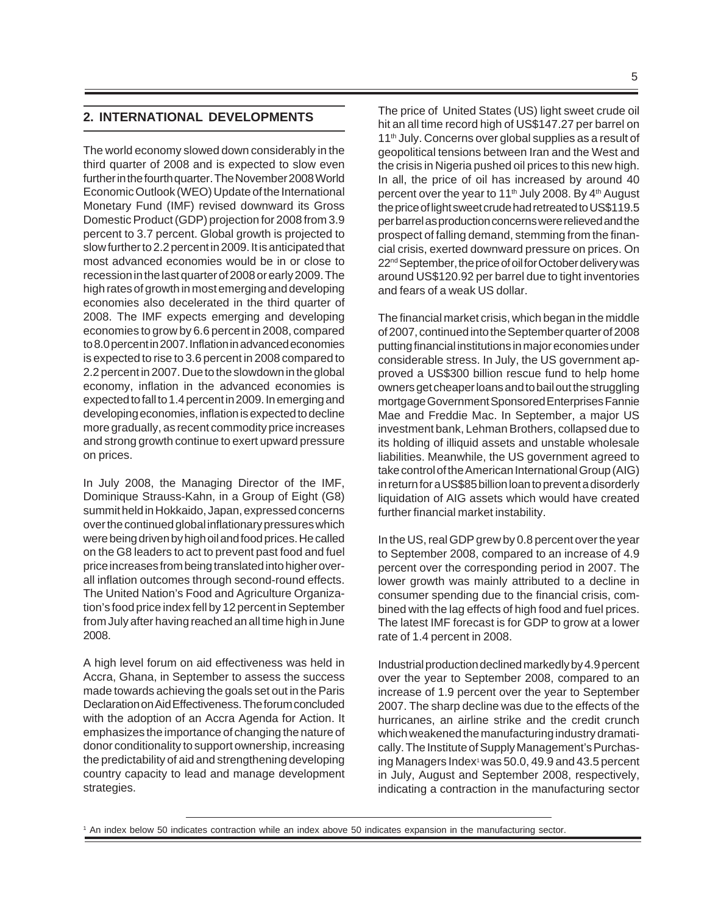### **2. INTERNATIONAL DEVELOPMENTS**

The world economy slowed down considerably in the third quarter of 2008 and is expected to slow even further in the fourth quarter. The November 2008 World Economic Outlook (WEO) Update of the International Monetary Fund (IMF) revised downward its Gross Domestic Product (GDP) projection for 2008 from 3.9 percent to 3.7 percent. Global growth is projected to slow further to 2.2 percent in 2009. It is anticipated that most advanced economies would be in or close to recession in the last quarter of 2008 or early 2009. The high rates of growth in most emerging and developing economies also decelerated in the third quarter of 2008. The IMF expects emerging and developing economies to grow by 6.6 percent in 2008, compared to 8.0 percent in 2007. Inflation in advanced economies is expected to rise to 3.6 percent in 2008 compared to 2.2 percent in 2007. Due to the slowdown in the global economy, inflation in the advanced economies is expected to fall to 1.4 percent in 2009. In emerging and developing economies, inflation is expected to decline more gradually, as recent commodity price increases and strong growth continue to exert upward pressure on prices.

In July 2008, the Managing Director of the IMF, Dominique Strauss-Kahn, in a Group of Eight (G8) summit held in Hokkaido, Japan, expressed concerns over the continued global inflationary pressures which were being driven by high oil and food prices. He called on the G8 leaders to act to prevent past food and fuel price increases from being translated into higher overall inflation outcomes through second-round effects. The United Nation's Food and Agriculture Organization's food price index fell by 12 percent in September from July after having reached an all time high in June 2008.

A high level forum on aid effectiveness was held in Accra, Ghana, in September to assess the success made towards achieving the goals set out in the Paris Declaration on Aid Effectiveness. The forum concluded with the adoption of an Accra Agenda for Action. It emphasizes the importance of changing the nature of donor conditionality to support ownership, increasing the predictability of aid and strengthening developing country capacity to lead and manage development strategies.

The price of United States (US) light sweet crude oil hit an all time record high of US\$147.27 per barrel on 11<sup>th</sup> July. Concerns over global supplies as a result of geopolitical tensions between Iran and the West and the crisis in Nigeria pushed oil prices to this new high. In all, the price of oil has increased by around 40 percent over the year to 11<sup>th</sup> July 2008. By 4<sup>th</sup> August the price of light sweet crude had retreated to US\$119.5 per barrel as production concerns were relieved and the prospect of falling demand, stemming from the financial crisis, exerted downward pressure on prices. On 22<sup>nd</sup> September, the price of oil for October delivery was around US\$120.92 per barrel due to tight inventories and fears of a weak US dollar.

The financial market crisis, which began in the middle of 2007, continued into the September quarter of 2008 putting financial institutions in major economies under considerable stress. In July, the US government approved a US\$300 billion rescue fund to help home owners get cheaper loans and to bail out the struggling mortgage Government Sponsored Enterprises Fannie Mae and Freddie Mac. In September, a major US investment bank, Lehman Brothers, collapsed due to its holding of illiquid assets and unstable wholesale liabilities. Meanwhile, the US government agreed to take control of the American International Group (AIG) in return for a US\$85 billion loan to prevent a disorderly liquidation of AIG assets which would have created further financial market instability.

In the US, real GDP grew by 0.8 percent over the year to September 2008, compared to an increase of 4.9 percent over the corresponding period in 2007. The lower growth was mainly attributed to a decline in consumer spending due to the financial crisis, combined with the lag effects of high food and fuel prices. The latest IMF forecast is for GDP to grow at a lower rate of 1.4 percent in 2008.

Industrial production declined markedly by 4.9 percent over the year to September 2008, compared to an increase of 1.9 percent over the year to September 2007. The sharp decline was due to the effects of the hurricanes, an airline strike and the credit crunch which weakened the manufacturing industry dramatically. The Institute of Supply Management's Purchasing Managers Index<sup>1</sup> was 50.0, 49.9 and 43.5 percent in July, August and September 2008, respectively, indicating a contraction in the manufacturing sector

<sup>1</sup> An index below 50 indicates contraction while an index above 50 indicates expansion in the manufacturing sector.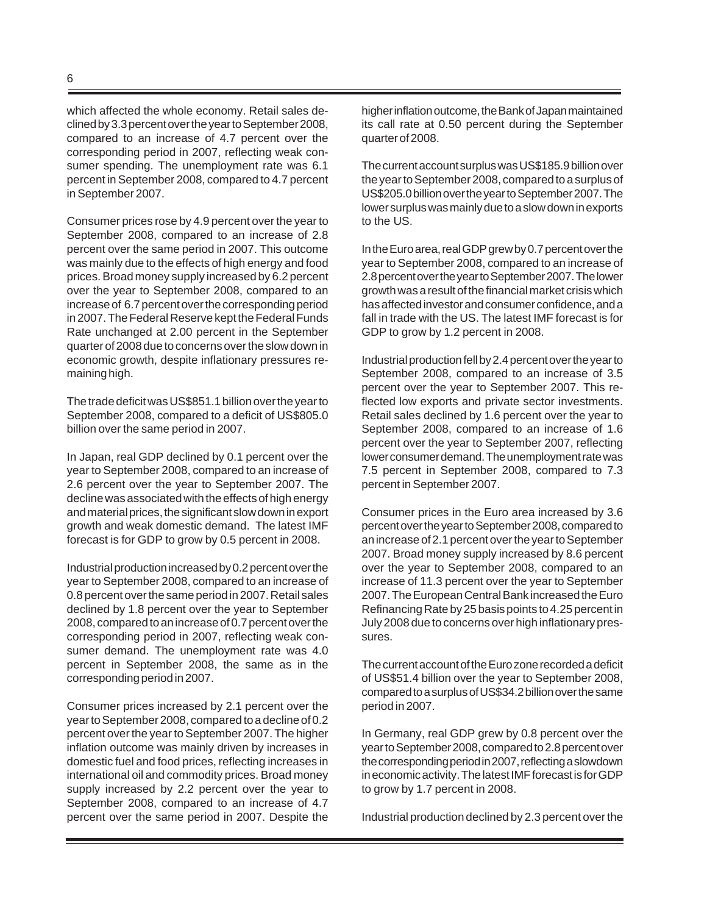which affected the whole economy. Retail sales declined by 3.3 percent over the year to September 2008, compared to an increase of 4.7 percent over the corresponding period in 2007, reflecting weak consumer spending. The unemployment rate was 6.1 percent in September 2008, compared to 4.7 percent in September 2007.

Consumer prices rose by 4.9 percent over the year to September 2008, compared to an increase of 2.8 percent over the same period in 2007. This outcome was mainly due to the effects of high energy and food prices. Broad money supply increased by 6.2 percent over the year to September 2008, compared to an increase of 6.7 percent over the corresponding period in 2007. The Federal Reserve kept the Federal Funds Rate unchanged at 2.00 percent in the September quarter of 2008 due to concerns over the slow down in economic growth, despite inflationary pressures remaining high.

The trade deficit was US\$851.1 billion over the year to September 2008, compared to a deficit of US\$805.0 billion over the same period in 2007.

In Japan, real GDP declined by 0.1 percent over the year to September 2008, compared to an increase of 2.6 percent over the year to September 2007. The decline was associated with the effects of high energy and material prices, the significant slow down in export growth and weak domestic demand. The latest IMF forecast is for GDP to grow by 0.5 percent in 2008.

Industrial production increased by 0.2 percent over the year to September 2008, compared to an increase of 0.8 percent over the same period in 2007. Retail sales declined by 1.8 percent over the year to September 2008, compared to an increase of 0.7 percent over the corresponding period in 2007, reflecting weak consumer demand. The unemployment rate was 4.0 percent in September 2008, the same as in the corresponding period in 2007.

Consumer prices increased by 2.1 percent over the year to September 2008, compared to a decline of 0.2 percent over the year to September 2007. The higher inflation outcome was mainly driven by increases in domestic fuel and food prices, reflecting increases in international oil and commodity prices. Broad money supply increased by 2.2 percent over the year to September 2008, compared to an increase of 4.7 percent over the same period in 2007. Despite the

higher inflation outcome, the Bank of Japan maintained its call rate at 0.50 percent during the September quarter of 2008.

The current account surplus was US\$185.9 billion over the year to September 2008, compared to a surplus of US\$205.0 billion over the year to September 2007. The lower surplus was mainly due to a slow down in exports to the US.

In the Euro area, real GDP grew by 0.7 percent over the year to September 2008, compared to an increase of 2.8 percent over the year to September 2007. The lower growth was a result of the financial market crisis which has affected investor and consumer confidence, and a fall in trade with the US. The latest IMF forecast is for GDP to grow by 1.2 percent in 2008.

Industrial production fell by 2.4 percent over the year to September 2008, compared to an increase of 3.5 percent over the year to September 2007. This reflected low exports and private sector investments. Retail sales declined by 1.6 percent over the year to September 2008, compared to an increase of 1.6 percent over the year to September 2007, reflecting lower consumer demand. The unemployment rate was 7.5 percent in September 2008, compared to 7.3 percent in September 2007.

Consumer prices in the Euro area increased by 3.6 percent over the year to September 2008, compared to an increase of 2.1 percent over the year to September 2007. Broad money supply increased by 8.6 percent over the year to September 2008, compared to an increase of 11.3 percent over the year to September 2007. The European Central Bank increased the Euro Refinancing Rate by 25 basis points to 4.25 percent in July 2008 due to concerns over high inflationary pressures.

The current account of the Euro zone recorded a deficit of US\$51.4 billion over the year to September 2008, compared to a surplus of US\$34.2 billion over the same period in 2007.

In Germany, real GDP grew by 0.8 percent over the year to September 2008, compared to 2.8 percent over the corresponding period in 2007, reflecting a slowdown in economic activity. The latest IMF forecast is for GDP to grow by 1.7 percent in 2008.

Industrial production declined by 2.3 percent over the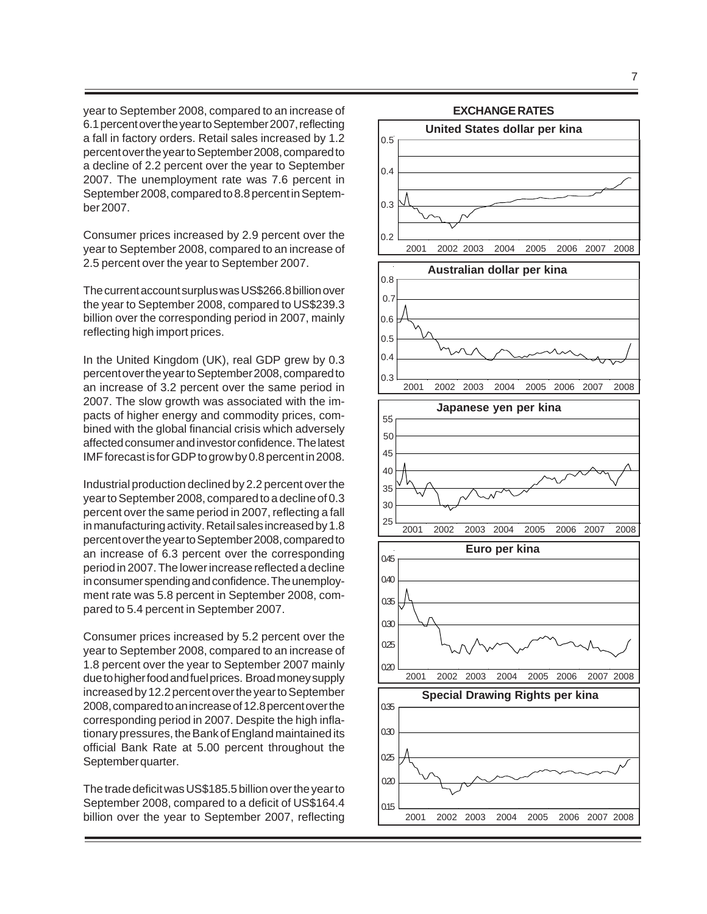year to September 2008, compared to an increase of 6.1 percent over the year to September 2007, reflecting a fall in factory orders. Retail sales increased by 1.2 percent over the year to September 2008, compared to a decline of 2.2 percent over the year to September 2007. The unemployment rate was 7.6 percent in September 2008, compared to 8.8 percent in September 2007.

Consumer prices increased by 2.9 percent over the year to September 2008, compared to an increase of 2.5 percent over the year to September 2007.

The current account surplus was US\$266.8 billion over the year to September 2008, compared to US\$239.3 billion over the corresponding period in 2007, mainly reflecting high import prices.

In the United Kingdom (UK), real GDP grew by 0.3 percent over the year to September 2008, compared to an increase of 3.2 percent over the same period in 2007. The slow growth was associated with the impacts of higher energy and commodity prices, combined with the global financial crisis which adversely affected consumer and investor confidence. The latest IMF forecast is for GDP to grow by 0.8 percent in 2008.

Industrial production declined by 2.2 percent over the year to September 2008, compared to a decline of 0.3 percent over the same period in 2007, reflecting a fall in manufacturing activity. Retail sales increased by 1.8 percent over the year to September 2008, compared to an increase of 6.3 percent over the corresponding period in 2007. The lower increase reflected a decline in consumer spending and confidence. The unemployment rate was 5.8 percent in September 2008, compared to 5.4 percent in September 2007.

Consumer prices increased by 5.2 percent over the year to September 2008, compared to an increase of 1.8 percent over the year to September 2007 mainly due to higher food and fuel prices. Broad money supply increased by 12.2 percent over the year to September 2008, compared to an increase of 12.8 percent over the corresponding period in 2007. Despite the high inflationary pressures, the Bank of England maintained its official Bank Rate at 5.00 percent throughout the September quarter.

The trade deficit was US\$185.5 billion over the year to September 2008, compared to a deficit of US\$164.4 billion over the year to September 2007, reflecting

# **EXCHANGE RATES**

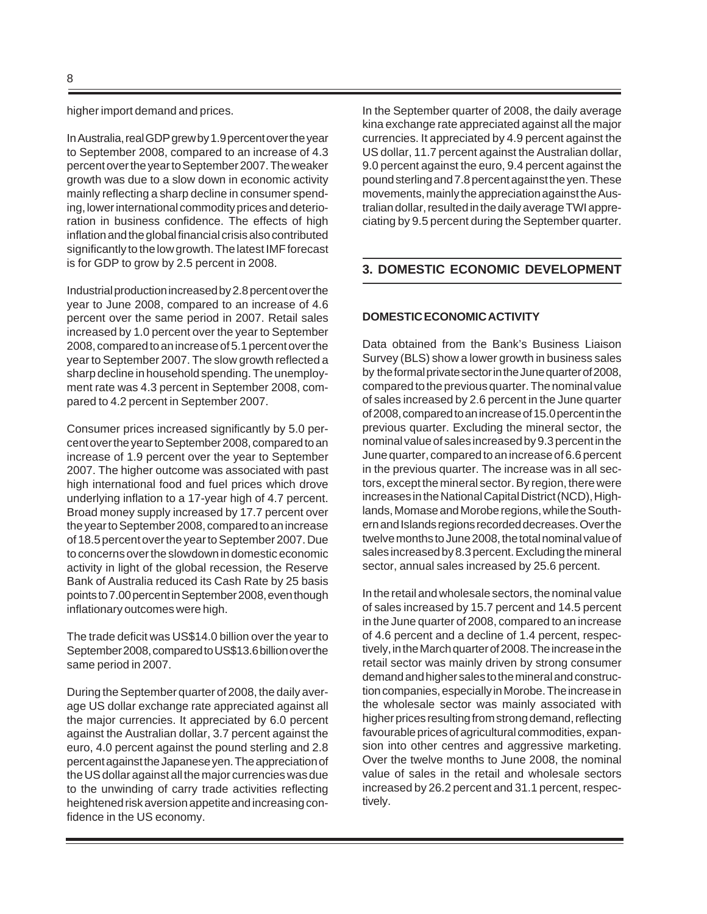higher import demand and prices.

In Australia, real GDP grew by 1.9 percent over the year to September 2008, compared to an increase of 4.3 percent over the year to September 2007. The weaker growth was due to a slow down in economic activity mainly reflecting a sharp decline in consumer spending, lower international commodity prices and deterioration in business confidence. The effects of high inflation and the global financial crisis also contributed significantly to the low growth. The latest IMF forecast is for GDP to grow by 2.5 percent in 2008.

Industrial production increased by 2.8 percent over the year to June 2008, compared to an increase of 4.6 percent over the same period in 2007. Retail sales increased by 1.0 percent over the year to September 2008, compared to an increase of 5.1 percent over the year to September 2007. The slow growth reflected a sharp decline in household spending. The unemployment rate was 4.3 percent in September 2008, compared to 4.2 percent in September 2007.

Consumer prices increased significantly by 5.0 percent over the year to September 2008, compared to an increase of 1.9 percent over the year to September 2007. The higher outcome was associated with past high international food and fuel prices which drove underlying inflation to a 17-year high of 4.7 percent. Broad money supply increased by 17.7 percent over the year to September 2008, compared to an increase of 18.5 percent over the year to September 2007. Due to concerns over the slowdown in domestic economic activity in light of the global recession, the Reserve Bank of Australia reduced its Cash Rate by 25 basis points to 7.00 percent in September 2008, even though inflationary outcomes were high.

The trade deficit was US\$14.0 billion over the year to September 2008, compared to US\$13.6 billion over the same period in 2007.

During the September quarter of 2008, the daily average US dollar exchange rate appreciated against all the major currencies. It appreciated by 6.0 percent against the Australian dollar, 3.7 percent against the euro, 4.0 percent against the pound sterling and 2.8 percent against the Japanese yen. The appreciation of the US dollar against all the major currencies was due to the unwinding of carry trade activities reflecting heightened risk aversion appetite and increasing confidence in the US economy.

In the September quarter of 2008, the daily average kina exchange rate appreciated against all the major currencies. It appreciated by 4.9 percent against the US dollar, 11.7 percent against the Australian dollar, 9.0 percent against the euro, 9.4 percent against the pound sterling and 7.8 percent against the yen. These movements, mainly the appreciation against the Australian dollar, resulted in the daily average TWI appreciating by 9.5 percent during the September quarter.

# **3. DOMESTIC ECONOMIC DEVELOPMENT**

#### **DOMESTIC ECONOMIC ACTIVITY**

Data obtained from the Bank's Business Liaison Survey (BLS) show a lower growth in business sales by the formal private sector in the June quarter of 2008, compared to the previous quarter. The nominal value of sales increased by 2.6 percent in the June quarter of 2008, compared to an increase of 15.0 percent in the previous quarter. Excluding the mineral sector, the nominal value of sales increased by 9.3 percent in the June quarter, compared to an increase of 6.6 percent in the previous quarter. The increase was in all sectors, except the mineral sector. By region, there were increases in the National Capital District (NCD), Highlands, Momase and Morobe regions, while the Southern and Islands regions recorded decreases. Over the twelve months to June 2008, the total nominal value of sales increased by 8.3 percent. Excluding the mineral sector, annual sales increased by 25.6 percent.

In the retail and wholesale sectors, the nominal value of sales increased by 15.7 percent and 14.5 percent in the June quarter of 2008, compared to an increase of 4.6 percent and a decline of 1.4 percent, respectively, in the March quarter of 2008. The increase in the retail sector was mainly driven by strong consumer demand and higher sales to the mineral and construction companies, especially in Morobe. The increase in the wholesale sector was mainly associated with higher prices resulting from strong demand, reflecting favourable prices of agricultural commodities, expansion into other centres and aggressive marketing. Over the twelve months to June 2008, the nominal value of sales in the retail and wholesale sectors increased by 26.2 percent and 31.1 percent, respectively.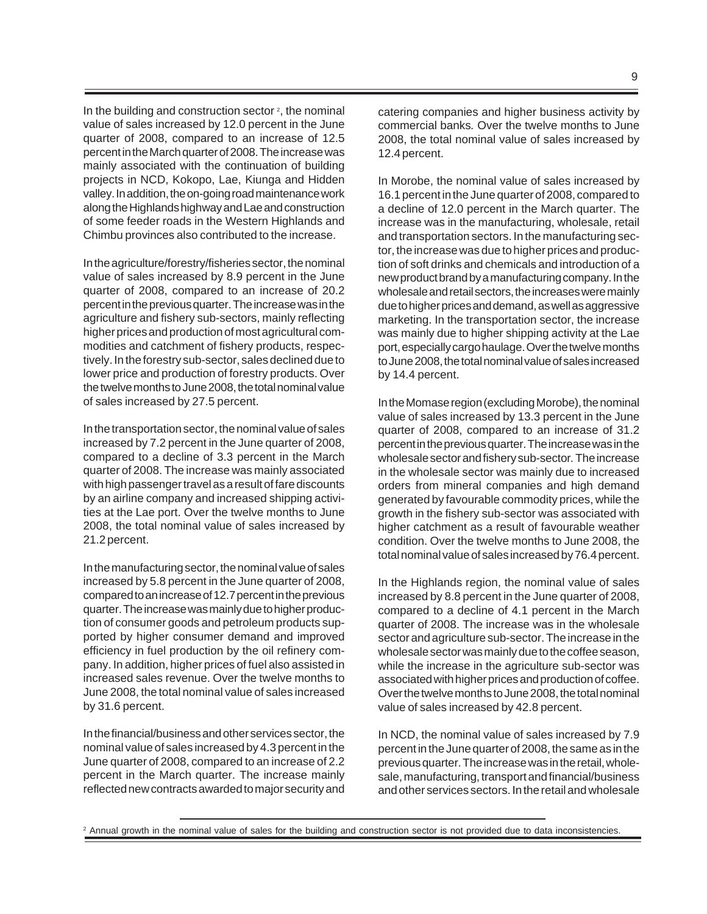In the building and construction sector  $2$ , the nominal value of sales increased by 12.0 percent in the June quarter of 2008, compared to an increase of 12.5 percent in the March quarter of 2008. The increase was mainly associated with the continuation of building projects in NCD, Kokopo, Lae, Kiunga and Hidden valley. In addition, the on-going road maintenance work along the Highlands highway and Lae and construction of some feeder roads in the Western Highlands and Chimbu provinces also contributed to the increase.

In the agriculture/forestry/fisheries sector, the nominal value of sales increased by 8.9 percent in the June quarter of 2008, compared to an increase of 20.2 percent in the previous quarter. The increase was in the agriculture and fishery sub-sectors, mainly reflecting higher prices and production of most agricultural commodities and catchment of fishery products, respectively. In the forestry sub-sector, sales declined due to lower price and production of forestry products. Over the twelve months to June 2008, the total nominal value of sales increased by 27.5 percent.

In the transportation sector, the nominal value of sales increased by 7.2 percent in the June quarter of 2008, compared to a decline of 3.3 percent in the March quarter of 2008. The increase was mainly associated with high passenger travel as a result of fare discounts by an airline company and increased shipping activities at the Lae port. Over the twelve months to June 2008, the total nominal value of sales increased by 21.2 percent.

In the manufacturing sector, the nominal value of sales increased by 5.8 percent in the June quarter of 2008, compared to an increase of 12.7 percent in the previous quarter. The increase was mainly due to higher production of consumer goods and petroleum products supported by higher consumer demand and improved efficiency in fuel production by the oil refinery company. In addition, higher prices of fuel also assisted in increased sales revenue. Over the twelve months to June 2008, the total nominal value of sales increased by 31.6 percent.

In the financial/business and other services sector, the nominal value of sales increased by 4.3 percent in the June quarter of 2008, compared to an increase of 2.2 percent in the March quarter. The increase mainly reflected new contracts awarded to major security and catering companies and higher business activity by commercial banks*.* Over the twelve months to June 2008, the total nominal value of sales increased by 12.4 percent.

In Morobe, the nominal value of sales increased by 16.1 percent in the June quarter of 2008, compared to a decline of 12.0 percent in the March quarter. The increase was in the manufacturing, wholesale, retail and transportation sectors. In the manufacturing sector, the increase was due to higher prices and production of soft drinks and chemicals and introduction of a new product brand by a manufacturing company. In the wholesale and retail sectors, the increases were mainly due to higher prices and demand, as well as aggressive marketing. In the transportation sector, the increase was mainly due to higher shipping activity at the Lae port, especially cargo haulage. Over the twelve months to June 2008, the total nominal value of sales increased by 14.4 percent.

In the Momase region (excluding Morobe), the nominal value of sales increased by 13.3 percent in the June quarter of 2008, compared to an increase of 31.2 percent in the previous quarter. The increase was in the wholesale sector and fishery sub-sector*.* The increase in the wholesale sector was mainly due to increased orders from mineral companies and high demand generated by favourable commodity prices, while the growth in the fishery sub-sector was associated with higher catchment as a result of favourable weather condition. Over the twelve months to June 2008, the total nominal value of sales increased by 76.4 percent.

In the Highlands region, the nominal value of sales increased by 8.8 percent in the June quarter of 2008, compared to a decline of 4.1 percent in the March quarter of 2008. The increase was in the wholesale sector and agriculture sub-sector. The increase in the wholesale sector was mainly due to the coffee season, while the increase in the agriculture sub-sector was associated with higher prices and production of coffee. Over the twelve months to June 2008, the total nominal value of sales increased by 42.8 percent.

In NCD, the nominal value of sales increased by 7.9 percent in the June quarter of 2008, the same as in the previous quarter. The increase was in the retail, wholesale, manufacturing, transport and financial/business and other services sectors. In the retail and wholesale

<sup>&</sup>lt;sup>2</sup> Annual growth in the nominal value of sales for the building and construction sector is not provided due to data inconsistencies.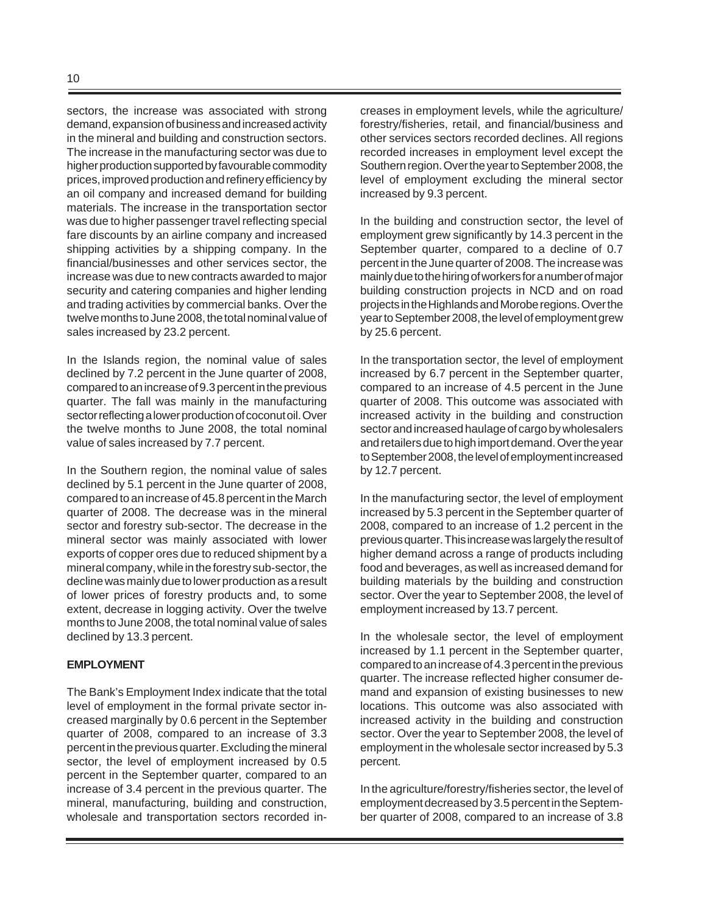sectors, the increase was associated with strong demand, expansion of business and increased activity in the mineral and building and construction sectors. The increase in the manufacturing sector was due to higher production supported by favourable commodity prices, improved production and refinery efficiency by an oil company and increased demand for building materials. The increase in the transportation sector was due to higher passenger travel reflecting special fare discounts by an airline company and increased shipping activities by a shipping company. In the financial/businesses and other services sector, the increase was due to new contracts awarded to major security and catering companies and higher lending and trading activities by commercial banks. Over the twelve months to June 2008, the total nominal value of sales increased by 23.2 percent.

In the Islands region, the nominal value of sales declined by 7.2 percent in the June quarter of 2008, compared to an increase of 9.3 percent in the previous quarter. The fall was mainly in the manufacturing sector reflecting a lower production of coconut oil. Over the twelve months to June 2008, the total nominal value of sales increased by 7.7 percent.

In the Southern region, the nominal value of sales declined by 5.1 percent in the June quarter of 2008, compared to an increase of 45.8 percent in the March quarter of 2008. The decrease was in the mineral sector and forestry sub-sector. The decrease in the mineral sector was mainly associated with lower exports of copper ores due to reduced shipment by a mineral company, while in the forestry sub-sector, the decline was mainly due to lower production as a result of lower prices of forestry products and, to some extent, decrease in logging activity. Over the twelve months to June 2008, the total nominal value of sales declined by 13.3 percent.

#### **EMPLOYMENT**

The Bank's Employment Index indicate that the total level of employment in the formal private sector increased marginally by 0.6 percent in the September quarter of 2008, compared to an increase of 3.3 percent in the previous quarter. Excluding the mineral sector, the level of employment increased by 0.5 percent in the September quarter, compared to an increase of 3.4 percent in the previous quarter. The mineral, manufacturing, building and construction, wholesale and transportation sectors recorded increases in employment levels, while the agriculture/ forestry/fisheries, retail, and financial/business and other services sectors recorded declines. All regions recorded increases in employment level except the Southern region. Over the year to September 2008, the level of employment excluding the mineral sector increased by 9.3 percent.

In the building and construction sector, the level of employment grew significantly by 14.3 percent in the September quarter, compared to a decline of 0.7 percent in the June quarter of 2008. The increase was mainly due to the hiring of workers for a number of major building construction projects in NCD and on road projects in the Highlands and Morobe regions. Over the year to September 2008, the level of employment grew by 25.6 percent.

In the transportation sector, the level of employment increased by 6.7 percent in the September quarter, compared to an increase of 4.5 percent in the June quarter of 2008. This outcome was associated with increased activity in the building and construction sector and increased haulage of cargo by wholesalers and retailers due to high import demand. Over the year to September 2008, the level of employment increased by 12.7 percent.

In the manufacturing sector, the level of employment increased by 5.3 percent in the September quarter of 2008, compared to an increase of 1.2 percent in the previous quarter. This increase was largely the result of higher demand across a range of products including food and beverages, as well as increased demand for building materials by the building and construction sector. Over the year to September 2008, the level of employment increased by 13.7 percent.

In the wholesale sector, the level of employment increased by 1.1 percent in the September quarter, compared to an increase of 4.3 percent in the previous quarter. The increase reflected higher consumer demand and expansion of existing businesses to new locations. This outcome was also associated with increased activity in the building and construction sector. Over the year to September 2008, the level of employment in the wholesale sector increased by 5.3 percent.

In the agriculture/forestry/fisheries sector, the level of employment decreased by 3.5 percent in the September quarter of 2008, compared to an increase of 3.8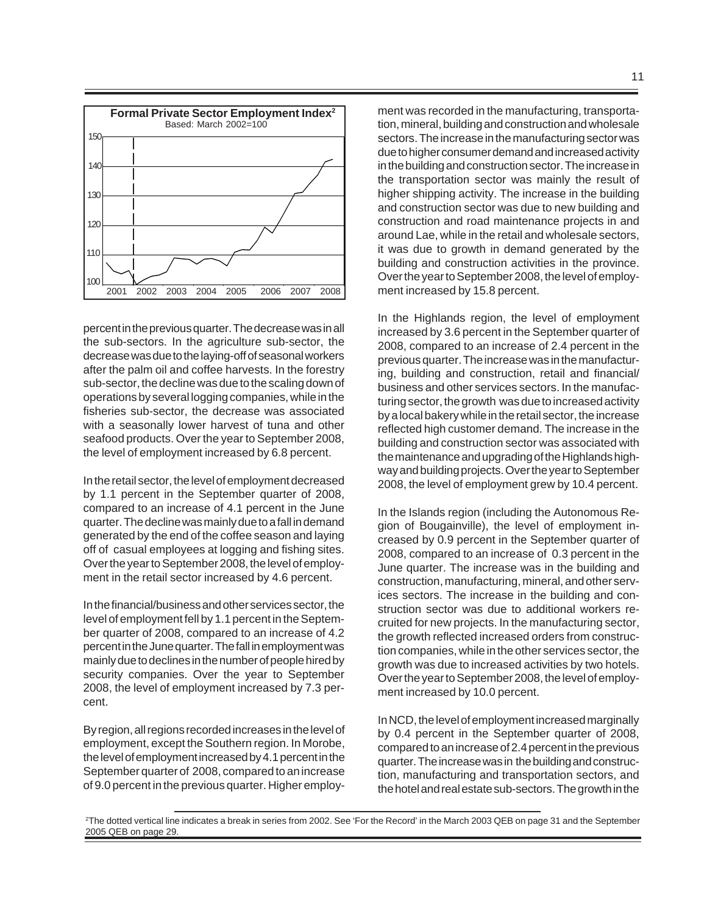

percent in the previous quarter. The decrease was in all the sub-sectors. In the agriculture sub-sector, the decrease was due to the laying-off of seasonal workers after the palm oil and coffee harvests. In the forestry sub-sector, the decline was due to the scaling down of operations by several logging companies, while in the fisheries sub-sector, the decrease was associated with a seasonally lower harvest of tuna and other seafood products. Over the year to September 2008, the level of employment increased by 6.8 percent.

In the retail sector, the level of employment decreased by 1.1 percent in the September quarter of 2008, compared to an increase of 4.1 percent in the June quarter. The decline was mainly due to a fall in demand generated by the end of the coffee season and laying off of casual employees at logging and fishing sites. Over the year to September 2008, the level of employment in the retail sector increased by 4.6 percent.

In the financial/business and other services sector, the level of employment fell by 1.1 percent in the September quarter of 2008, compared to an increase of 4.2 percent in the June quarter. The fall in employment was mainly due to declines in the number of people hired by security companies. Over the year to September 2008, the level of employment increased by 7.3 percent.

By region, all regions recorded increases in the level of employment, except the Southern region. In Morobe, the level of employment increased by 4.1 percent in the September quarter of 2008, compared to an increase of 9.0 percent in the previous quarter. Higher employment was recorded in the manufacturing, transportation, mineral, building and construction and wholesale sectors. The increase in the manufacturing sector was due to higher consumer demand and increased activity in the building and construction sector. The increase in the transportation sector was mainly the result of higher shipping activity. The increase in the building and construction sector was due to new building and construction and road maintenance projects in and around Lae, while in the retail and wholesale sectors, it was due to growth in demand generated by the building and construction activities in the province. Over the year to September 2008, the level of employment increased by 15.8 percent.

In the Highlands region, the level of employment increased by 3.6 percent in the September quarter of 2008, compared to an increase of 2.4 percent in the previous quarter. The increase was in the manufacturing, building and construction, retail and financial/ business and other services sectors. In the manufacturing sector, the growth was due to increased activity by a local bakery while in the retail sector, the increase reflected high customer demand. The increase in the building and construction sector was associated with the maintenance and upgrading of the Highlands highway and building projects. Over the year to September 2008, the level of employment grew by 10.4 percent.

In the Islands region (including the Autonomous Region of Bougainville), the level of employment increased by 0.9 percent in the September quarter of 2008, compared to an increase of 0.3 percent in the June quarter. The increase was in the building and construction, manufacturing, mineral, and other services sectors. The increase in the building and construction sector was due to additional workers recruited for new projects. In the manufacturing sector, the growth reflected increased orders from construction companies, while in the other services sector, the growth was due to increased activities by two hotels. Over the year to September 2008, the level of employment increased by 10.0 percent.

In NCD, the level of employment increased marginally by 0.4 percent in the September quarter of 2008, compared to an increase of 2.4 percent in the previous quarter. The increase was in the building and construction, manufacturing and transportation sectors, and the hotel and real estate sub-sectors. The growth in the

<sup>2</sup> The dotted vertical line indicates a break in series from 2002. See 'For the Record' in the March 2003 QEB on page 31 and the September 2005 QEB on page 29.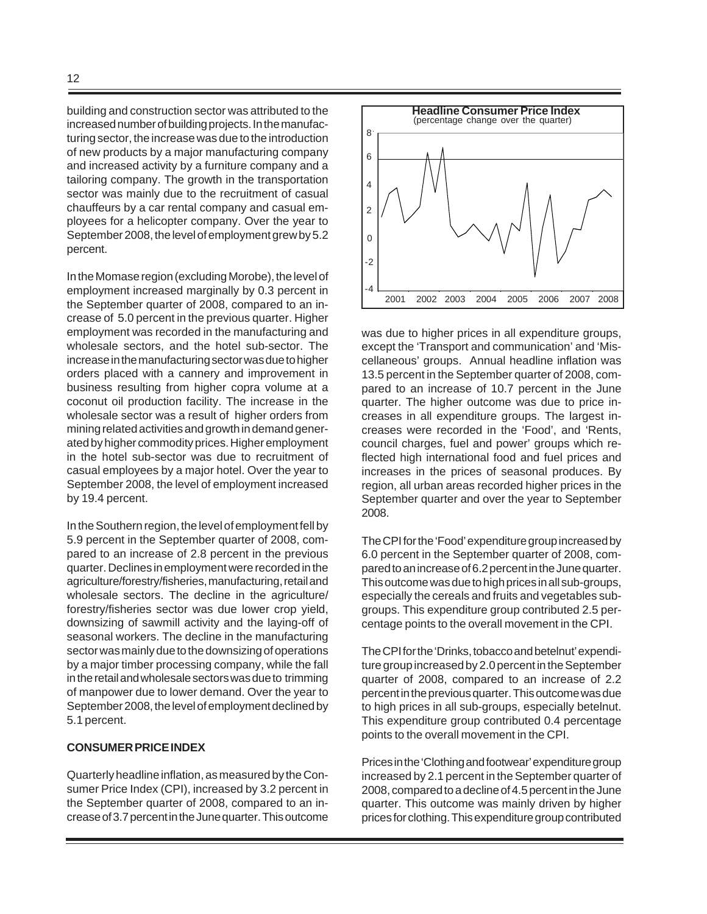building and construction sector was attributed to the increased number of building projects. In the manufacturing sector, the increase was due to the introduction of new products by a major manufacturing company and increased activity by a furniture company and a tailoring company. The growth in the transportation sector was mainly due to the recruitment of casual chauffeurs by a car rental company and casual employees for a helicopter company. Over the year to September 2008, the level of employment grew by 5.2 percent.

In the Momase region (excluding Morobe), the level of employment increased marginally by 0.3 percent in the September quarter of 2008, compared to an increase of 5.0 percent in the previous quarter. Higher employment was recorded in the manufacturing and wholesale sectors, and the hotel sub-sector. The increase in the manufacturing sector was due to higher orders placed with a cannery and improvement in business resulting from higher copra volume at a coconut oil production facility. The increase in the wholesale sector was a result of higher orders from mining related activities and growth in demand generated by higher commodity prices. Higher employment in the hotel sub-sector was due to recruitment of casual employees by a major hotel. Over the year to September 2008, the level of employment increased by 19.4 percent.

In the Southern region, the level of employment fell by 5.9 percent in the September quarter of 2008, compared to an increase of 2.8 percent in the previous quarter. Declines in employment were recorded in the agriculture/forestry/fisheries, manufacturing, retail and wholesale sectors. The decline in the agriculture/ forestry/fisheries sector was due lower crop yield, downsizing of sawmill activity and the laying-off of seasonal workers. The decline in the manufacturing sector was mainly due to the downsizing of operations by a major timber processing company, while the fall in the retail and wholesale sectors was due to trimming of manpower due to lower demand. Over the year to September 2008, the level of employment declined by 5.1 percent.

#### **CONSUMER PRICE INDEX**

Quarterly headline inflation, as measured by the Consumer Price Index (CPI), increased by 3.2 percent in the September quarter of 2008, compared to an increase of 3.7 percent in the June quarter. This outcome



was due to higher prices in all expenditure groups, except the 'Transport and communication' and 'Miscellaneous' groups. Annual headline inflation was 13.5 percent in the September quarter of 2008, compared to an increase of 10.7 percent in the June quarter. The higher outcome was due to price increases in all expenditure groups. The largest increases were recorded in the 'Food', and 'Rents, council charges, fuel and power' groups which reflected high international food and fuel prices and increases in the prices of seasonal produces. By region, all urban areas recorded higher prices in the September quarter and over the year to September 2008.

The CPI for the 'Food' expenditure group increased by 6.0 percent in the September quarter of 2008, compared to an increase of 6.2 percent in the June quarter. This outcome was due to high prices in all sub-groups, especially the cereals and fruits and vegetables subgroups. This expenditure group contributed 2.5 percentage points to the overall movement in the CPI.

The CPI for the 'Drinks, tobacco and betelnut' expenditure group increased by 2.0 percent in the September quarter of 2008, compared to an increase of 2.2 percent in the previous quarter. This outcome was due to high prices in all sub-groups, especially betelnut. This expenditure group contributed 0.4 percentage points to the overall movement in the CPI.

Prices in the 'Clothing and footwear' expenditure group increased by 2.1 percent in the September quarter of 2008, compared to a decline of 4.5 percent in the June quarter. This outcome was mainly driven by higher prices for clothing. This expenditure group contributed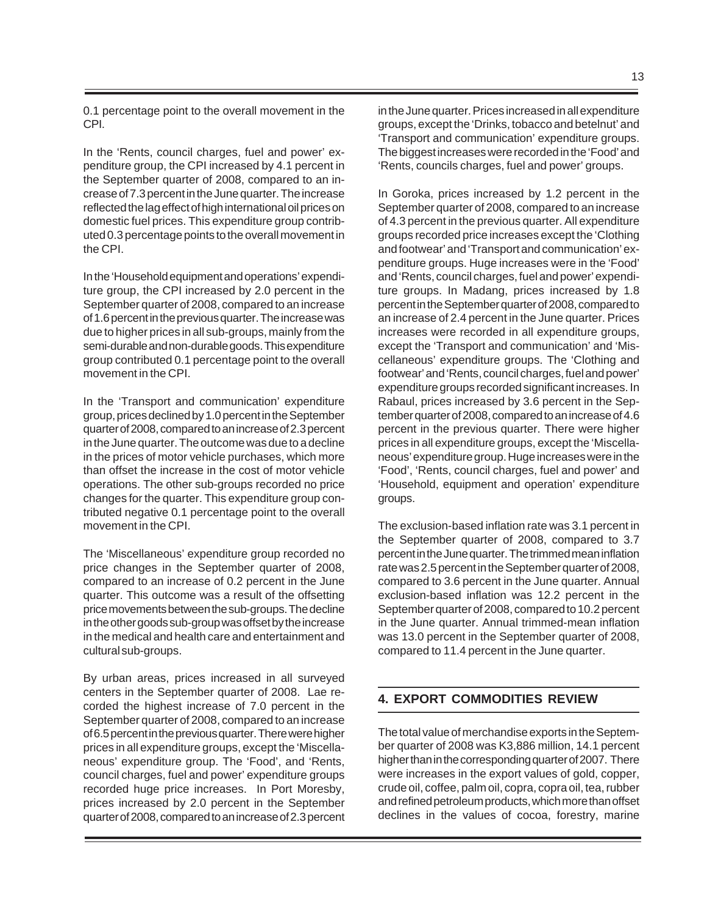0.1 percentage point to the overall movement in the CPI.

In the 'Rents, council charges, fuel and power' expenditure group, the CPI increased by 4.1 percent in the September quarter of 2008, compared to an increase of 7.3 percent in the June quarter. The increase reflected the lag effect of high international oil prices on domestic fuel prices. This expenditure group contributed 0.3 percentage points to the overall movement in the CPI.

In the 'Household equipment and operations' expenditure group, the CPI increased by 2.0 percent in the September quarter of 2008, compared to an increase of 1.6 percent in the previous quarter. The increase was due to higher prices in all sub-groups, mainly from the semi-durable and non-durable goods. This expenditure group contributed 0.1 percentage point to the overall movement in the CPI.

In the 'Transport and communication' expenditure group, prices declined by 1.0 percent in the September quarter of 2008, compared to an increase of 2.3 percent in the June quarter. The outcome was due to a decline in the prices of motor vehicle purchases, which more than offset the increase in the cost of motor vehicle operations. The other sub-groups recorded no price changes for the quarter. This expenditure group contributed negative 0.1 percentage point to the overall movement in the CPI.

The 'Miscellaneous' expenditure group recorded no price changes in the September quarter of 2008, compared to an increase of 0.2 percent in the June quarter. This outcome was a result of the offsetting price movements between the sub-groups. The decline in the other goods sub-group was offset by the increase in the medical and health care and entertainment and cultural sub-groups.

By urban areas, prices increased in all surveyed centers in the September quarter of 2008. Lae recorded the highest increase of 7.0 percent in the September quarter of 2008, compared to an increase of 6.5 percent in the previous quarter. There were higher prices in all expenditure groups, except the 'Miscellaneous' expenditure group. The 'Food', and 'Rents, council charges, fuel and power' expenditure groups recorded huge price increases. In Port Moresby, prices increased by 2.0 percent in the September quarter of 2008, compared to an increase of 2.3 percent in the June quarter. Prices increased in all expenditure groups, except the 'Drinks, tobacco and betelnut' and 'Transport and communication' expenditure groups. The biggest increases were recorded in the 'Food' and 'Rents, councils charges, fuel and power' groups.

In Goroka, prices increased by 1.2 percent in the September quarter of 2008, compared to an increase of 4.3 percent in the previous quarter. All expenditure groups recorded price increases except the 'Clothing and footwear' and 'Transport and communication' expenditure groups. Huge increases were in the 'Food' and 'Rents, council charges, fuel and power' expenditure groups. In Madang, prices increased by 1.8 percent in the September quarter of 2008, compared to an increase of 2.4 percent in the June quarter. Prices increases were recorded in all expenditure groups, except the 'Transport and communication' and 'Miscellaneous' expenditure groups. The 'Clothing and footwear' and 'Rents, council charges, fuel and power' expenditure groups recorded significant increases. In Rabaul, prices increased by 3.6 percent in the September quarter of 2008, compared to an increase of 4.6 percent in the previous quarter. There were higher prices in all expenditure groups, except the 'Miscellaneous' expenditure group. Huge increases were in the 'Food', 'Rents, council charges, fuel and power' and 'Household, equipment and operation' expenditure groups.

The exclusion-based inflation rate was 3.1 percent in the September quarter of 2008, compared to 3.7 percent in the June quarter. The trimmed mean inflation rate was 2.5 percent in the September quarter of 2008, compared to 3.6 percent in the June quarter. Annual exclusion-based inflation was 12.2 percent in the September quarter of 2008, compared to 10.2 percent in the June quarter. Annual trimmed-mean inflation was 13.0 percent in the September quarter of 2008, compared to 11.4 percent in the June quarter.

# **4. EXPORT COMMODITIES REVIEW**

The total value of merchandise exports in the September quarter of 2008 was K3,886 million, 14.1 percent higher than in the corresponding quarter of 2007. There were increases in the export values of gold, copper, crude oil, coffee, palm oil, copra, copra oil, tea, rubber and refined petroleum products, which more than offset declines in the values of cocoa, forestry, marine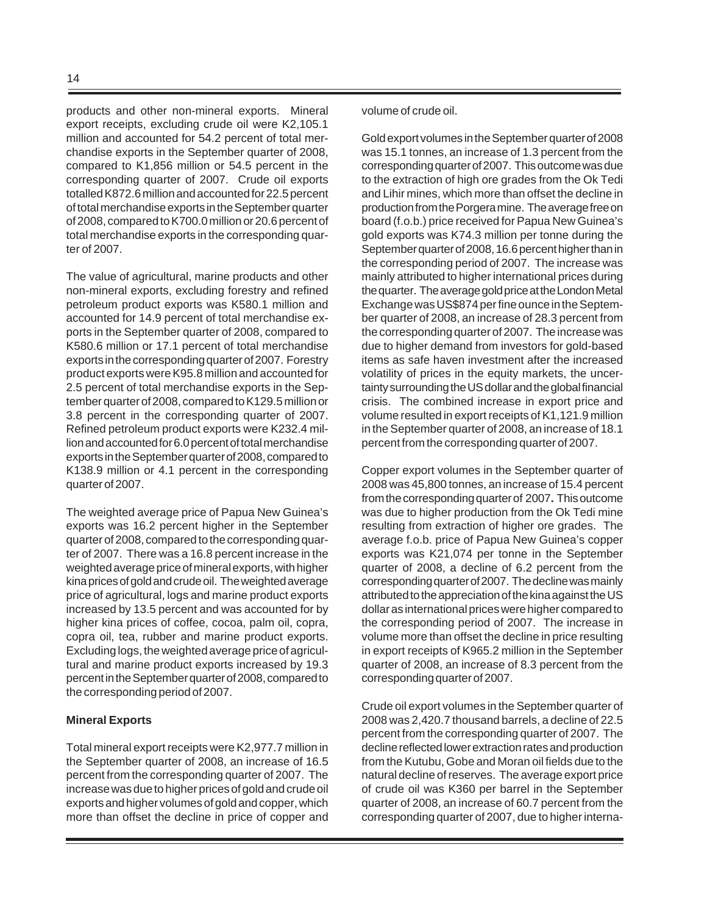products and other non-mineral exports. Mineral export receipts, excluding crude oil were K2,105.1 million and accounted for 54.2 percent of total merchandise exports in the September quarter of 2008, compared to K1,856 million or 54.5 percent in the corresponding quarter of 2007. Crude oil exports totalled K872.6 million and accounted for 22.5 percent of total merchandise exports in the September quarter of 2008, compared to K700.0 million or 20.6 percent of total merchandise exports in the corresponding quarter of 2007.

The value of agricultural, marine products and other non-mineral exports, excluding forestry and refined petroleum product exports was K580.1 million and accounted for 14.9 percent of total merchandise exports in the September quarter of 2008, compared to K580.6 million or 17.1 percent of total merchandise exports in the corresponding quarter of 2007. Forestry product exports were K95.8 million and accounted for 2.5 percent of total merchandise exports in the September quarter of 2008, compared to K129.5 million or 3.8 percent in the corresponding quarter of 2007. Refined petroleum product exports were K232.4 million and accounted for 6.0 percent of total merchandise exports in the September quarter of 2008, compared to K138.9 million or 4.1 percent in the corresponding quarter of 2007.

The weighted average price of Papua New Guinea's exports was 16.2 percent higher in the September quarter of 2008, compared to the corresponding quarter of 2007. There was a 16.8 percent increase in the weighted average price of mineral exports, with higher kina prices of gold and crude oil. The weighted average price of agricultural, logs and marine product exports increased by 13.5 percent and was accounted for by higher kina prices of coffee, cocoa, palm oil, copra, copra oil, tea, rubber and marine product exports. Excluding logs, the weighted average price of agricultural and marine product exports increased by 19.3 percent in the September quarter of 2008, compared to the corresponding period of 2007.

#### **Mineral Exports**

Total mineral export receipts were K2,977.7 million in the September quarter of 2008, an increase of 16.5 percent from the corresponding quarter of 2007. The increase was due to higher prices of gold and crude oil exports and higher volumes of gold and copper, which more than offset the decline in price of copper and

#### volume of crude oil.

Gold export volumes in the September quarter of 2008 was 15.1 tonnes, an increase of 1.3 percent from the corresponding quarter of 2007. This outcome was due to the extraction of high ore grades from the Ok Tedi and Lihir mines, which more than offset the decline in production from the Porgera mine. The average free on board (f.o.b.) price received for Papua New Guinea's gold exports was K74.3 million per tonne during the September quarter of 2008, 16.6 percent higher than in the corresponding period of 2007. The increase was mainly attributed to higher international prices during the quarter. The average gold price at the London Metal Exchange was US\$874 per fine ounce in the September quarter of 2008, an increase of 28.3 percent from the corresponding quarter of 2007. The increase was due to higher demand from investors for gold-based items as safe haven investment after the increased volatility of prices in the equity markets, the uncertainty surrounding the US dollar and the global financial crisis. The combined increase in export price and volume resulted in export receipts of K1,121.9 million in the September quarter of 2008, an increase of 18.1 percent from the corresponding quarter of 2007.

Copper export volumes in the September quarter of 2008 was 45,800 tonnes, an increase of 15.4 percent from the corresponding quarter of 2007**.** This outcome was due to higher production from the Ok Tedi mine resulting from extraction of higher ore grades. The average f.o.b. price of Papua New Guinea's copper exports was K21,074 per tonne in the September quarter of 2008, a decline of 6.2 percent from the corresponding quarter of 2007. The decline was mainly attributed to the appreciation of the kina against the US dollar as international prices were higher compared to the corresponding period of 2007. The increase in volume more than offset the decline in price resulting in export receipts of K965.2 million in the September quarter of 2008, an increase of 8.3 percent from the corresponding quarter of 2007.

Crude oil export volumes in the September quarter of 2008 was 2,420.7 thousand barrels, a decline of 22.5 percent from the corresponding quarter of 2007. The decline reflected lower extraction rates and production from the Kutubu, Gobe and Moran oil fields due to the natural decline of reserves. The average export price of crude oil was K360 per barrel in the September quarter of 2008, an increase of 60.7 percent from the corresponding quarter of 2007, due to higher interna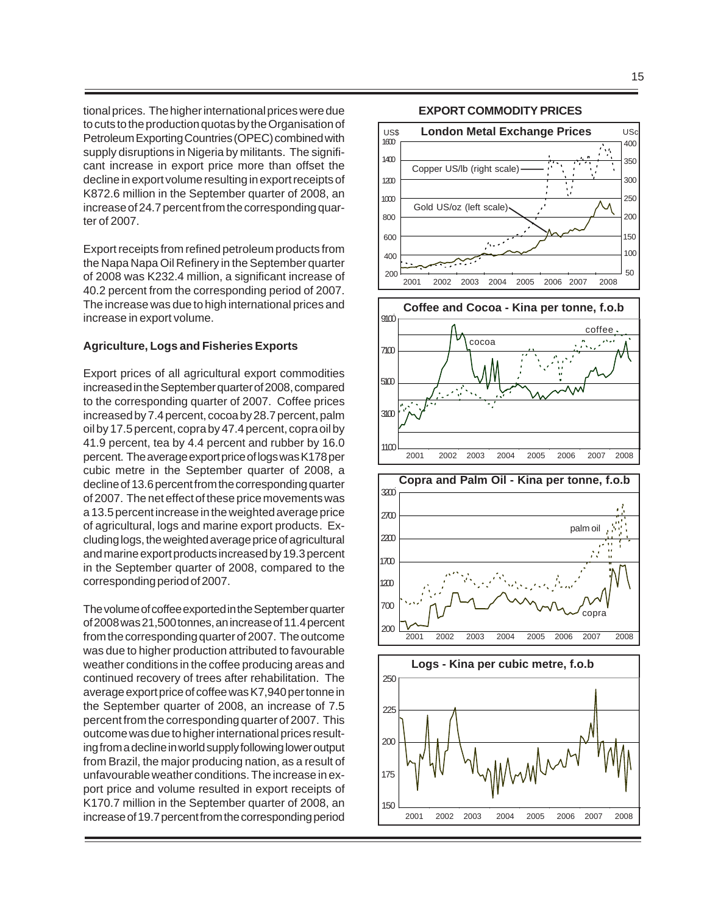tional prices. The higher international prices were due to cuts to the production quotas by the Organisation of Petroleum Exporting Countries (OPEC) combined with supply disruptions in Nigeria by militants. The significant increase in export price more than offset the decline in export volume resulting in export receipts of K872.6 million in the September quarter of 2008, an increase of 24.7 percent from the corresponding quarter of 2007.

Export receipts from refined petroleum products from the Napa Napa Oil Refinery in the September quarter of 2008 was K232.4 million, a significant increase of 40.2 percent from the corresponding period of 2007. The increase was due to high international prices and increase in export volume.

#### **Agriculture, Logs and Fisheries Exports**

Export prices of all agricultural export commodities increased in the September quarter of 2008, compared to the corresponding quarter of 2007. Coffee prices increased by 7.4 percent, cocoa by 28.7 percent, palm oil by 17.5 percent, copra by 47.4 percent, copra oil by 41.9 percent, tea by 4.4 percent and rubber by 16.0 percent. The average export price of logs was K178 per cubic metre in the September quarter of 2008, a decline of 13.6 percent from the corresponding quarter of 2007. The net effect of these price movements was a 13.5 percent increase in the weighted average price of agricultural, logs and marine export products. Excluding logs, the weighted average price of agricultural and marine export products increased by 19.3 percent in the September quarter of 2008, compared to the corresponding period of 2007.

The volume of coffee exported in the September quarter of 2008 was 21,500 tonnes, an increase of 11.4 percent from the corresponding quarter of 2007. The outcome was due to higher production attributed to favourable weather conditions in the coffee producing areas and continued recovery of trees after rehabilitation.The average export price of coffee was K7,940 per tonne in the September quarter of 2008, an increase of 7.5 percent from the corresponding quarter of 2007. This outcome was due to higher international prices resulting from a decline in world supply following lower output from Brazil, the major producing nation, as a result of unfavourable weather conditions. The increase in export price and volume resulted in export receipts of K170.7 million in the September quarter of 2008, an increase of 19.7 percent from the corresponding period

# **EXPORT COMMODITY PRICES**

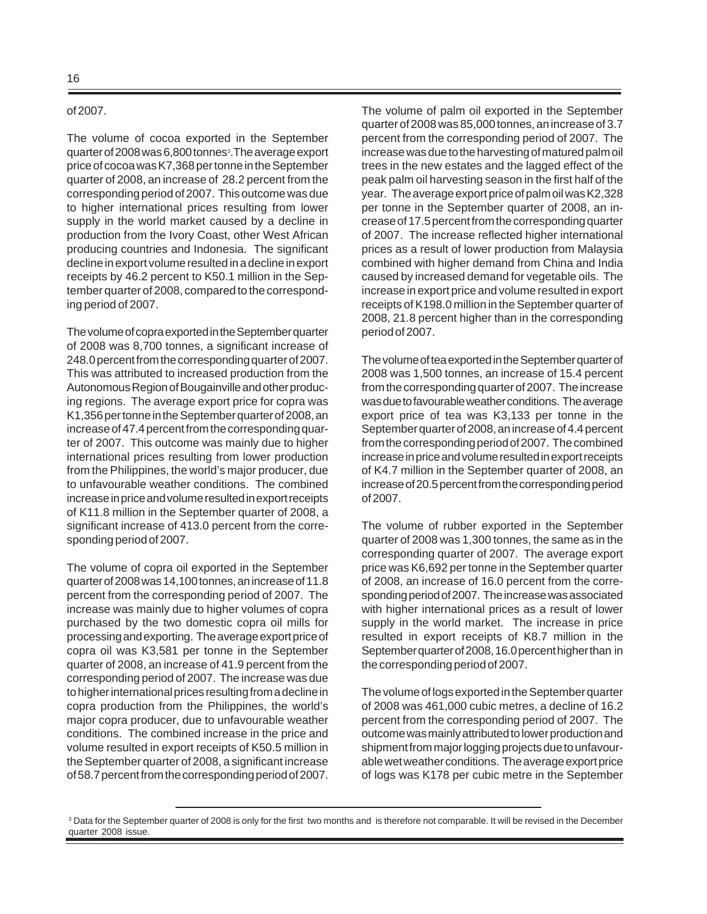#### of 2007.

The volume of cocoa exported in the September quarter of 2008 was 6,800 tonnes3 .The average export price of cocoa was K7,368 per tonne in the September quarter of 2008, an increase of 28.2 percent from the corresponding period of 2007. This outcome was due to higher international prices resulting from lower supply in the world market caused by a decline in production from the Ivory Coast, other West African producing countries and Indonesia. The significant decline in export volume resulted in a decline in export receipts by 46.2 percent to K50.1 million in the September quarter of 2008, compared to the corresponding period of 2007.

The volume of copra exported in the September quarter of 2008 was 8,700 tonnes, a significant increase of 248.0 percent from the corresponding quarter of 2007. This was attributed to increased production from the Autonomous Region of Bougainville and other producing regions. The average export price for copra was K1,356 per tonne in the September quarter of 2008, an increase of 47.4 percent from the corresponding quarter of 2007. This outcome was mainly due to higher international prices resulting from lower production from the Philippines, the world's major producer, due to unfavourable weather conditions. The combined increase in price and volume resulted in export receipts of K11.8 million in the September quarter of 2008, a significant increase of 413.0 percent from the corresponding period of 2007.

The volume of copra oil exported in the September quarter of 2008 was 14,100 tonnes, an increase of 11.8 percent from the corresponding period of 2007. The increase was mainly due to higher volumes of copra purchased by the two domestic copra oil mills for processing and exporting. The average export price of copra oil was K3,581 per tonne in the September quarter of 2008, an increase of 41.9 percent from the corresponding period of 2007. The increase was due to higher international prices resulting from a decline in copra production from the Philippines, the world's major copra producer, due to unfavourable weather conditions. The combined increase in the price and volume resulted in export receipts of K50.5 million in the September quarter of 2008, a significant increase of 58.7 percent from the corresponding period of 2007.

The volume of palm oil exported in the September quarter of 2008 was 85,000 tonnes, an increase of 3.7 percent from the corresponding period of 2007. The increase was due to the harvesting of matured palm oil trees in the new estates and the lagged effect of the peak palm oil harvesting season in the first half of the year. The average export price of palm oil was K2,328 per tonne in the September quarter of 2008, an increase of 17.5 percent from the corresponding quarter of 2007. The increase reflected higher international prices as a result of lower production from Malaysia combined with higher demand from China and India caused by increased demand for vegetable oils. The increase in export price and volume resulted in export receipts of K198.0 million in the September quarter of 2008, 21.8 percent higher than in the corresponding period of 2007.

The volume of tea exported in the September quarter of 2008 was 1,500 tonnes, an increase of 15.4 percent from the corresponding quarter of 2007. The increase was due to favourable weather conditions. The average export price of tea was K3,133 per tonne in the September quarter of 2008, an increase of 4.4 percent from the corresponding period of 2007. The combined increase in price and volume resulted in export receipts of K4.7 million in the September quarter of 2008, an increase of 20.5 percent from the corresponding period of 2007.

The volume of rubber exported in the September quarter of 2008 was 1,300 tonnes, the same as in the corresponding quarter of 2007. The average export price was K6,692 per tonne in the September quarter of 2008, an increase of 16.0 percent from the corresponding period of 2007. The increase was associated with higher international prices as a result of lower supply in the world market. The increase in price resulted in export receipts of K8.7 million in the September quarter of 2008, 16.0 percent higher than in the corresponding period of 2007.

The volume of logs exported in the September quarter of 2008 was 461,000 cubic metres, a decline of 16.2 percent from the corresponding period of 2007. The outcome was mainly attributed to lower production and shipment from major logging projects due to unfavourable wet weather conditions. The average export price of logs was K178 per cubic metre in the September

<sup>&</sup>lt;sup>3</sup> Data for the September quarter of 2008 is only for the first two months and is therefore not comparable. It will be revised in the December quarter 2008 issue.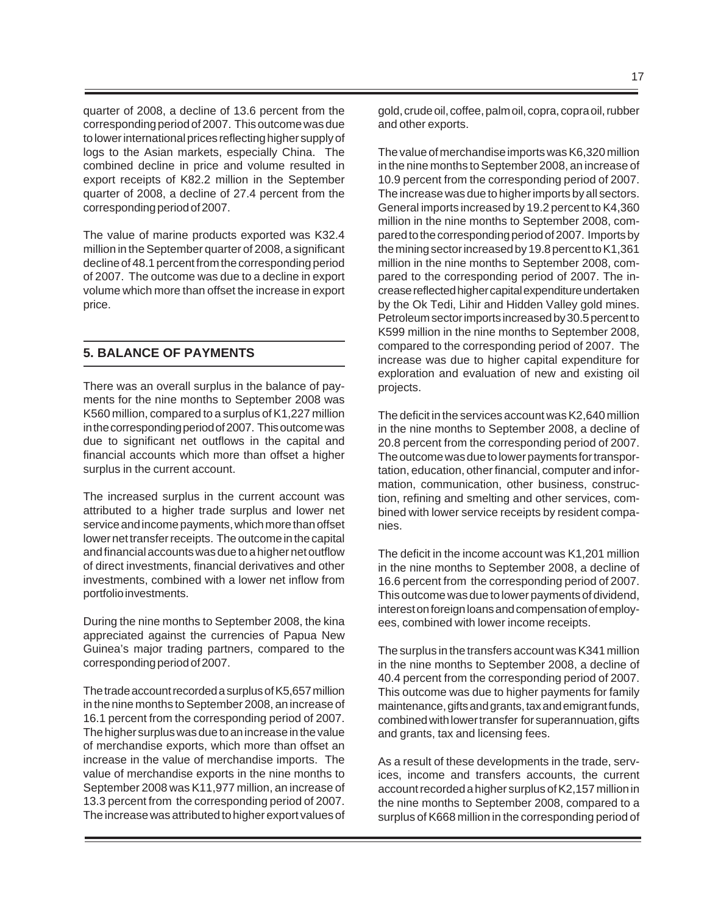quarter of 2008, a decline of 13.6 percent from the corresponding period of 2007. This outcome was due to lower international prices reflecting higher supply of logs to the Asian markets, especially China. The combined decline in price and volume resulted in export receipts of K82.2 million in the September quarter of 2008, a decline of 27.4 percent from the corresponding period of 2007.

The value of marine products exported was K32.4 million in the September quarter of 2008, a significant decline of 48.1 percent from the corresponding period of 2007. The outcome was due to a decline in export volume which more than offset the increase in export price.

# **5. BALANCE OF PAYMENTS**

There was an overall surplus in the balance of payments for the nine months to September 2008 was K560 million, compared to a surplus of K1,227 million in the corresponding period of 2007. This outcome was due to significant net outflows in the capital and financial accounts which more than offset a higher surplus in the current account.

The increased surplus in the current account was attributed to a higher trade surplus and lower net service and income payments, which more than offset lower net transfer receipts. The outcome in the capital and financial accounts was due to a higher net outflow of direct investments, financial derivatives and other investments, combined with a lower net inflow from portfolio investments.

During the nine months to September 2008, the kina appreciated against the currencies of Papua New Guinea's major trading partners, compared to the corresponding period of 2007.

The trade account recorded a surplus of K5,657 million in the nine months to September 2008, an increase of 16.1 percent from the corresponding period of 2007. The higher surplus was due to an increase in the value of merchandise exports, which more than offset an increase in the value of merchandise imports. The value of merchandise exports in the nine months to September 2008 was K11,977 million, an increase of 13.3 percent from the corresponding period of 2007. The increase was attributed to higher export values of gold, crude oil, coffee, palm oil, copra, copra oil, rubber and other exports.

The value of merchandise imports was K6,320 million in the nine months to September 2008, an increase of 10.9 percent from the corresponding period of 2007. The increase was due to higher imports by all sectors. General imports increased by 19.2 percent to K4,360 million in the nine months to September 2008, compared to the corresponding period of 2007. Imports by the mining sector increased by 19.8 percent to K1,361 million in the nine months to September 2008, compared to the corresponding period of 2007. The increase reflected higher capital expenditure undertaken by the Ok Tedi, Lihir and Hidden Valley gold mines. Petroleum sector imports increased by 30.5 percent to K599 million in the nine months to September 2008, compared to the corresponding period of 2007. The increase was due to higher capital expenditure for exploration and evaluation of new and existing oil projects.

The deficit in the services account was K2,640 million in the nine months to September 2008, a decline of 20.8 percent from the corresponding period of 2007. The outcome was due to lower payments for transportation, education, other financial, computer and information, communication, other business, construction, refining and smelting and other services, combined with lower service receipts by resident companies.

The deficit in the income account was K1,201 million in the nine months to September 2008, a decline of 16.6 percent from the corresponding period of 2007. This outcome was due to lower payments of dividend, interest on foreign loans and compensation of employees, combined with lower income receipts.

The surplus in the transfers account was K341 million in the nine months to September 2008, a decline of 40.4 percent from the corresponding period of 2007. This outcome was due to higher payments for family maintenance, gifts and grants, tax and emigrant funds, combined with lower transfer for superannuation, gifts and grants, tax and licensing fees.

As a result of these developments in the trade, services, income and transfers accounts, the current account recorded a higher surplus of K2,157 million in the nine months to September 2008, compared to a surplus of K668 million in the corresponding period of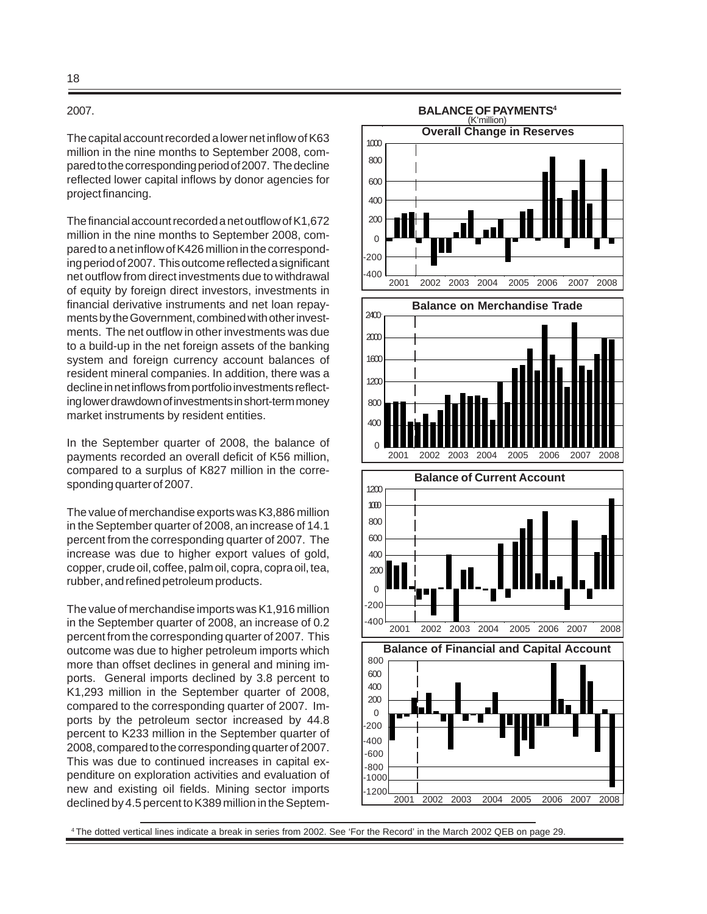#### 2007.

The capital account recorded a lower net inflow of K63 million in the nine months to September 2008, compared to the corresponding period of 2007. The decline reflected lower capital inflows by donor agencies for project financing.

The financial account recorded a net outflow of K1,672 million in the nine months to September 2008, compared to a net inflow of K426 million in the corresponding period of 2007. This outcome reflected a significant net outflow from direct investments due to withdrawal of equity by foreign direct investors, investments in financial derivative instruments and net loan repayments by the Government, combined with other investments. The net outflow in other investments was due to a build-up in the net foreign assets of the banking system and foreign currency account balances of resident mineral companies. In addition, there was a decline in net inflows from portfolio investments reflecting lower drawdown of investments in short-term money market instruments by resident entities.

In the September quarter of 2008, the balance of payments recorded an overall deficit of K56 million, compared to a surplus of K827 million in the corresponding quarter of 2007.

The value of merchandise exports was K3,886 million in the September quarter of 2008, an increase of 14.1 percent from the corresponding quarter of 2007. The increase was due to higher export values of gold, copper, crude oil, coffee, palm oil, copra, copra oil, tea, rubber, and refined petroleum products.

The value of merchandise imports was K1,916 million in the September quarter of 2008, an increase of 0.2 percent from the corresponding quarter of 2007. This outcome was due to higher petroleum imports which more than offset declines in general and mining imports. General imports declined by 3.8 percent to K1,293 million in the September quarter of 2008, compared to the corresponding quarter of 2007. Imports by the petroleum sector increased by 44.8 percent to K233 million in the September quarter of 2008, compared to the corresponding quarter of 2007. This was due to continued increases in capital expenditure on exploration activities and evaluation of new and existing oil fields. Mining sector imports declined by 4.5 percent to K389 million in the Septem-



4 The dotted vertical lines indicate a break in series from 2002. See 'For the Record' in the March 2002 QEB on page 29.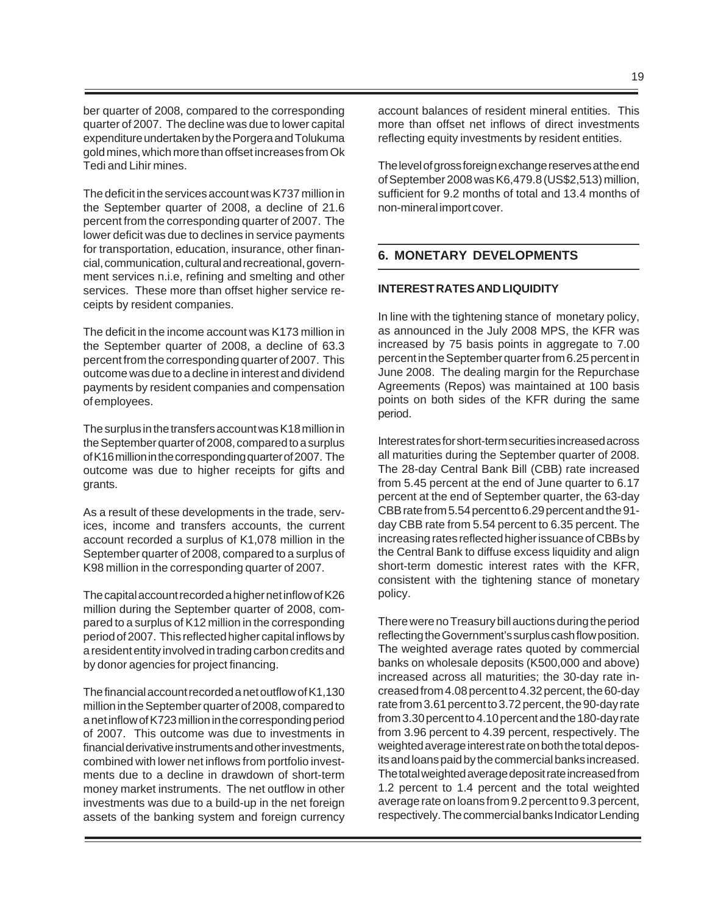ber quarter of 2008, compared to the corresponding quarter of 2007. The decline was due to lower capital expenditure undertaken by the Porgera and Tolukuma gold mines, which more than offset increases from Ok Tedi and Lihir mines.

The deficit in the services account was K737 million in the September quarter of 2008, a decline of 21.6 percent from the corresponding quarter of 2007. The lower deficit was due to declines in service payments for transportation, education, insurance, other financial, communication, cultural and recreational, government services n.i.e, refining and smelting and other services. These more than offset higher service receipts by resident companies.

The deficit in the income account was K173 million in the September quarter of 2008, a decline of 63.3 percent from the corresponding quarter of 2007. This outcome was due to a decline in interest and dividend payments by resident companies and compensation of employees.

The surplus in the transfers account was K18 million in the September quarter of 2008, compared to a surplus of K16 million in the corresponding quarter of 2007. The outcome was due to higher receipts for gifts and grants.

As a result of these developments in the trade, services, income and transfers accounts, the current account recorded a surplus of K1,078 million in the September quarter of 2008, compared to a surplus of K98 million in the corresponding quarter of 2007.

The capital account recorded a higher net inflow of K26 million during the September quarter of 2008, compared to a surplus of K12 million in the corresponding period of 2007. This reflected higher capital inflows by a resident entity involved in trading carbon credits and by donor agencies for project financing.

The financial account recorded a net outflow of K1,130 million in the September quarter of 2008, compared to a net inflow of K723 million in the corresponding period of 2007. This outcome was due to investments in financial derivative instruments and other investments, combined with lower net inflows from portfolio investments due to a decline in drawdown of short-term money market instruments. The net outflow in other investments was due to a build-up in the net foreign assets of the banking system and foreign currency account balances of resident mineral entities. This more than offset net inflows of direct investments reflecting equity investments by resident entities.

The level of gross foreign exchange reserves at the end of September 2008 was K6,479.8 (US\$2,513) million, sufficient for 9.2 months of total and 13.4 months of non-mineral import cover.

# **6. MONETARY DEVELOPMENTS**

# **INTEREST RATES AND LIQUIDITY**

In line with the tightening stance of monetary policy, as announced in the July 2008 MPS, the KFR was increased by 75 basis points in aggregate to 7.00 percent in the September quarter from 6.25 percent in June 2008. The dealing margin for the Repurchase Agreements (Repos) was maintained at 100 basis points on both sides of the KFR during the same period.

Interest rates for short-term securities increased across all maturities during the September quarter of 2008. The 28-day Central Bank Bill (CBB) rate increased from 5.45 percent at the end of June quarter to 6.17 percent at the end of September quarter, the 63-day CBB rate from 5.54 percent to 6.29 percent and the 91 day CBB rate from 5.54 percent to 6.35 percent. The increasing rates reflected higher issuance of CBBs by the Central Bank to diffuse excess liquidity and align short-term domestic interest rates with the KFR, consistent with the tightening stance of monetary policy.

There were no Treasury bill auctions during the period reflecting the Government's surplus cash flow position. The weighted average rates quoted by commercial banks on wholesale deposits (K500,000 and above) increased across all maturities; the 30-day rate increased from 4.08 percent to 4.32 percent, the 60-day rate from 3.61 percent to 3.72 percent, the 90-day rate from 3.30 percent to 4.10 percent and the 180-day rate from 3.96 percent to 4.39 percent, respectively. The weighted average interest rate on both the total deposits and loans paid by the commercial banks increased. The total weighted average deposit rate increased from 1.2 percent to 1.4 percent and the total weighted average rate on loans from 9.2 percent to 9.3 percent, respectively. The commercial banks Indicator Lending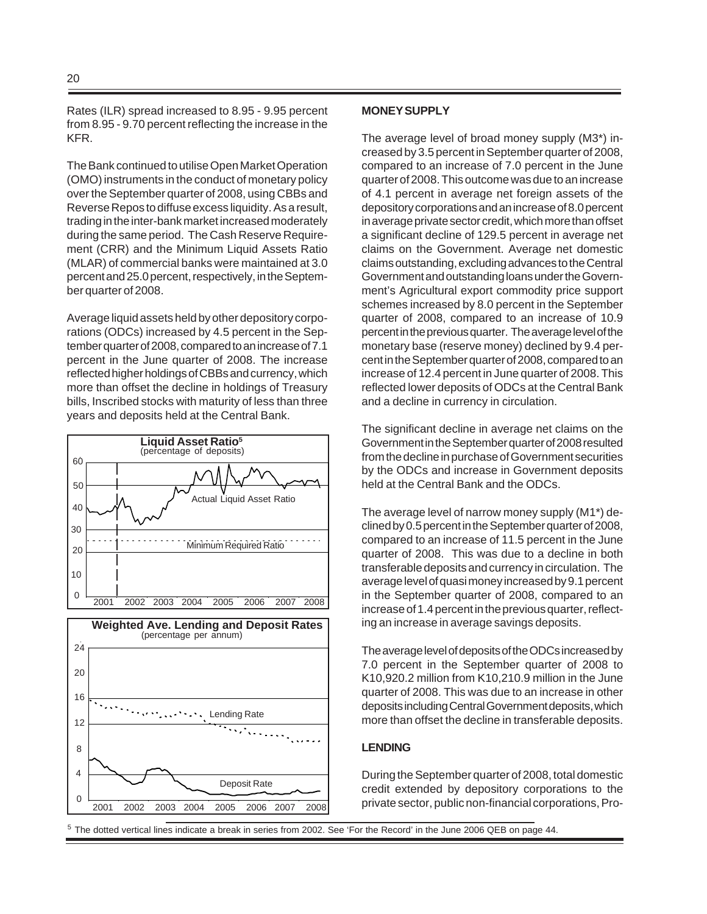Rates (ILR) spread increased to 8.95 - 9.95 percent from 8.95 - 9.70 percent reflecting the increase in the KFR.

The Bank continued to utilise Open Market Operation (OMO) instruments in the conduct of monetary policy over the September quarter of 2008, using CBBs and Reverse Repos to diffuse excess liquidity. As a result, trading in the inter-bank market increased moderately during the same period. The Cash Reserve Requirement (CRR) and the Minimum Liquid Assets Ratio (MLAR) of commercial banks were maintained at 3.0 percent and 25.0 percent, respectively, in the September quarter of 2008.

Average liquid assets held by other depository corporations (ODCs) increased by 4.5 percent in the September quarter of 2008, compared to an increase of 7.1 percent in the June quarter of 2008. The increase reflected higher holdings of CBBs and currency, which more than offset the decline in holdings of Treasury bills, Inscribed stocks with maturity of less than three years and deposits held at the Central Bank.



#### **MONEY SUPPLY**

The average level of broad money supply (M3\*) increased by 3.5 percent in September quarter of 2008, compared to an increase of 7.0 percent in the June quarter of 2008. This outcome was due to an increase of 4.1 percent in average net foreign assets of the depository corporations and an increase of 8.0 percent in average private sector credit, which more than offset a significant decline of 129.5 percent in average net claims on the Government. Average net domestic claims outstanding, excluding advances to the Central Government and outstanding loans under the Government's Agricultural export commodity price support schemes increased by 8.0 percent in the September quarter of 2008, compared to an increase of 10.9 percent in the previous quarter. The average level of the monetary base (reserve money) declined by 9.4 percent in the September quarter of 2008, compared to an increase of 12.4 percent in June quarter of 2008. This reflected lower deposits of ODCs at the Central Bank and a decline in currency in circulation.

The significant decline in average net claims on the Government in the September quarter of 2008 resulted from the decline in purchase of Government securities by the ODCs and increase in Government deposits held at the Central Bank and the ODCs.

The average level of narrow money supply (M1\*) declined by 0.5 percent in the September quarter of 2008, compared to an increase of 11.5 percent in the June quarter of 2008. This was due to a decline in both transferable deposits and currency in circulation. The average level of quasi money increased by 9.1 percent in the September quarter of 2008, compared to an increase of 1.4 percent in the previous quarter, reflecting an increase in average savings deposits.

The average level of deposits of the ODCs increased by 7.0 percent in the September quarter of 2008 to K10,920.2 million from K10,210.9 million in the June quarter of 2008. This was due to an increase in other deposits including Central Government deposits, which more than offset the decline in transferable deposits.

#### **LENDING**

During the September quarter of 2008, total domestic credit extended by depository corporations to the private sector, public non-financial corporations, Pro-

<sup>5</sup> The dotted vertical lines indicate a break in series from 2002. See 'For the Record' in the June 2006 QEB on page 44.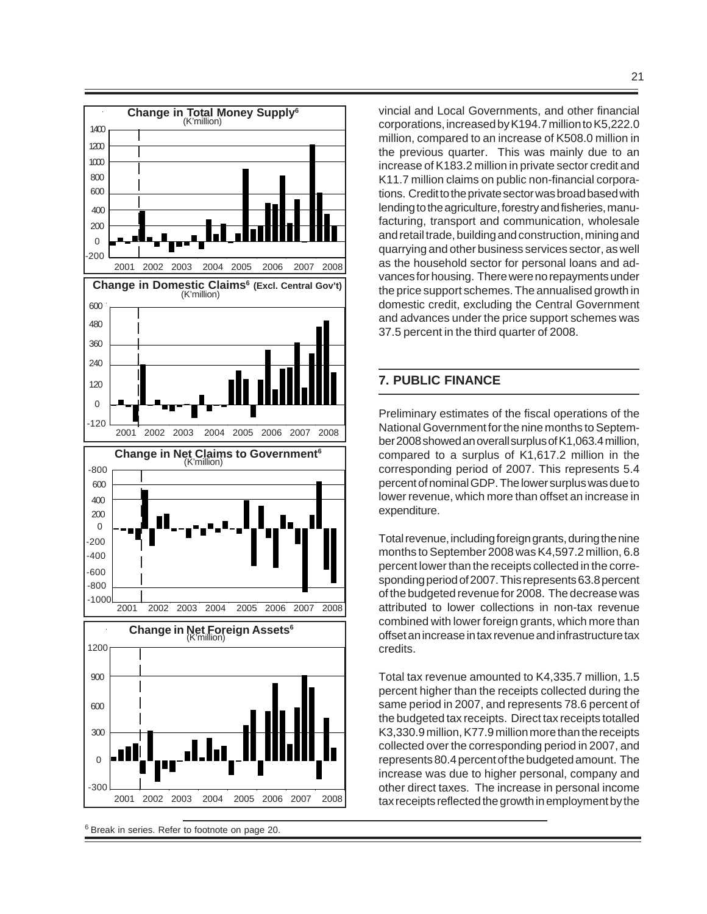

<sup>6</sup> Break in series. Refer to footnote on page 20.

vincial and Local Governments, and other financial corporations, increased by K194.7 million to K5,222.0 million, compared to an increase of K508.0 million in the previous quarter. This was mainly due to an increase of K183.2 million in private sector credit and K11.7 million claims on public non-financial corporations. Credit to the private sector was broad based with lending to the agriculture, forestry and fisheries, manufacturing, transport and communication, wholesale and retail trade, building and construction, mining and quarrying and other business services sector, as well as the household sector for personal loans and advances for housing. There were no repayments under the price support schemes. The annualised growth in domestic credit, excluding the Central Government and advances under the price support schemes was 37.5 percent in the third quarter of 2008.

# **7. PUBLIC FINANCE**

Preliminary estimates of the fiscal operations of the National Government for the nine months to September 2008 showed an overall surplus of K1,063.4 million, compared to a surplus of K1,617.2 million in the corresponding period of 2007. This represents 5.4 percent of nominal GDP. The lower surplus was due to lower revenue, which more than offset an increase in expenditure.

Total revenue, including foreign grants, during the nine months to September 2008 was K4,597.2 million, 6.8 percent lower than the receipts collected in the corresponding period of 2007. This represents 63.8 percent of the budgeted revenue for 2008. The decrease was attributed to lower collections in non-tax revenue combined with lower foreign grants, which more than offset an increase in tax revenue and infrastructure tax credits.

Total tax revenue amounted to K4,335.7 million, 1.5 percent higher than the receipts collected during the same period in 2007, and represents 78.6 percent of the budgeted tax receipts. Direct tax receipts totalled K3,330.9 million, K77.9 million more than the receipts collected over the corresponding period in 2007, and represents 80.4 percent of the budgeted amount. The increase was due to higher personal, company and other direct taxes. The increase in personal income tax receipts reflected the growth in employment by the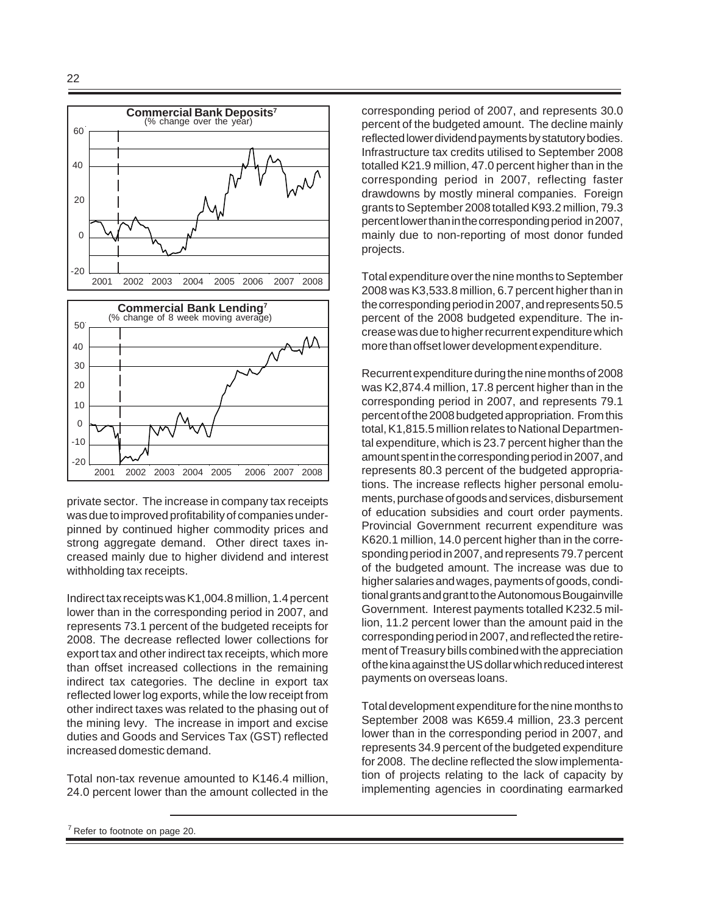



private sector. The increase in company tax receipts was due to improved profitability of companies underpinned by continued higher commodity prices and strong aggregate demand. Other direct taxes increased mainly due to higher dividend and interest withholding tax receipts.

Indirect tax receipts was K1,004.8 million, 1.4 percent lower than in the corresponding period in 2007, and represents 73.1 percent of the budgeted receipts for 2008. The decrease reflected lower collections for export tax and other indirect tax receipts, which more than offset increased collections in the remaining indirect tax categories. The decline in export tax reflected lower log exports, while the low receipt from other indirect taxes was related to the phasing out of the mining levy. The increase in import and excise duties and Goods and Services Tax (GST) reflected increased domestic demand.

Total non-tax revenue amounted to K146.4 million, 24.0 percent lower than the amount collected in the corresponding period of 2007, and represents 30.0 percent of the budgeted amount. The decline mainly reflected lower dividend payments by statutory bodies. Infrastructure tax credits utilised to September 2008 totalled K21.9 million, 47.0 percent higher than in the corresponding period in 2007, reflecting faster drawdowns by mostly mineral companies. Foreign grants to September 2008 totalled K93.2 million, 79.3 percent lower than in the corresponding period in 2007, mainly due to non-reporting of most donor funded projects.

Total expenditure over the nine months to September 2008 was K3,533.8 million, 6.7 percent higher than in the corresponding period in 2007, and represents 50.5 percent of the 2008 budgeted expenditure. The increase was due to higher recurrent expenditure which more than offset lower development expenditure.

Recurrent expenditure during the nine months of 2008 was K2,874.4 million, 17.8 percent higher than in the corresponding period in 2007, and represents 79.1 percent of the 2008 budgeted appropriation. From this total, K1,815.5 million relates to National Departmental expenditure, which is 23.7 percent higher than the amount spent in the corresponding period in 2007, and represents 80.3 percent of the budgeted appropriations. The increase reflects higher personal emoluments, purchase of goods and services, disbursement of education subsidies and court order payments. Provincial Government recurrent expenditure was K620.1 million, 14.0 percent higher than in the corresponding period in 2007, and represents 79.7 percent of the budgeted amount. The increase was due to higher salaries and wages, payments of goods, conditional grants and grant to the Autonomous Bougainville Government. Interest payments totalled K232.5 million, 11.2 percent lower than the amount paid in the corresponding period in 2007, and reflected the retirement of Treasury bills combined with the appreciation of the kina against the US dollar which reduced interest payments on overseas loans.

Total development expenditure for the nine months to September 2008 was K659.4 million, 23.3 percent lower than in the corresponding period in 2007, and represents 34.9 percent of the budgeted expenditure for 2008. The decline reflected the slow implementation of projects relating to the lack of capacity by implementing agencies in coordinating earmarked

 $7$  Refer to footnote on page 20.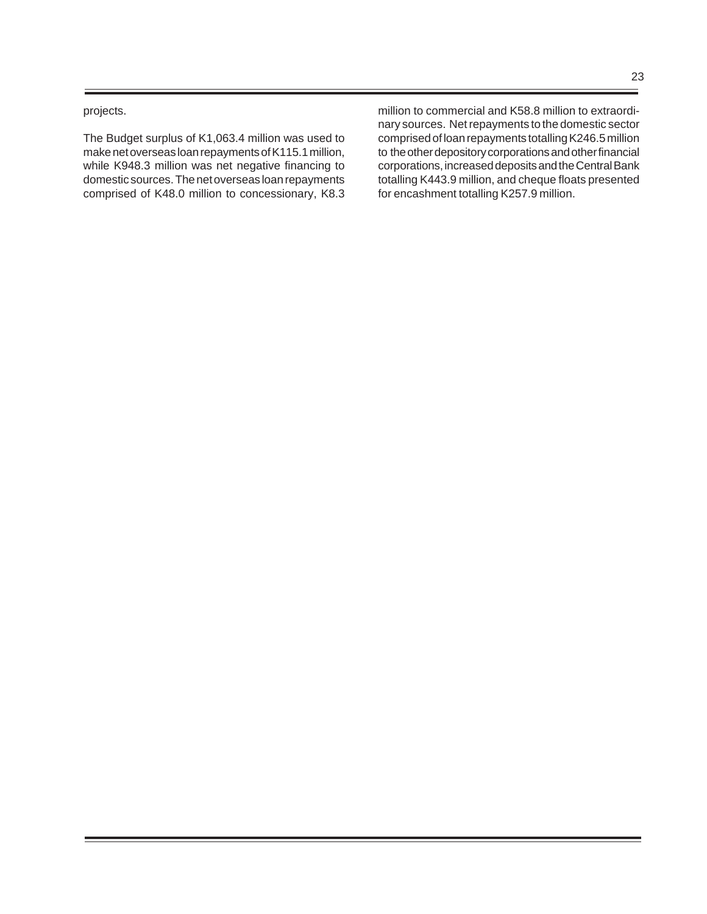projects.

The Budget surplus of K1,063.4 million was used to make net overseas loan repayments of K115.1 million, while K948.3 million was net negative financing to domestic sources. The net overseas loan repayments comprised of K48.0 million to concessionary, K8.3 million to commercial and K58.8 million to extraordinary sources. Net repayments to the domestic sector comprised of loan repayments totalling K246.5 million to the other depository corporations and other financial corporations, increased deposits and the Central Bank totalling K443.9 million, and cheque floats presented for encashment totalling K257.9 million.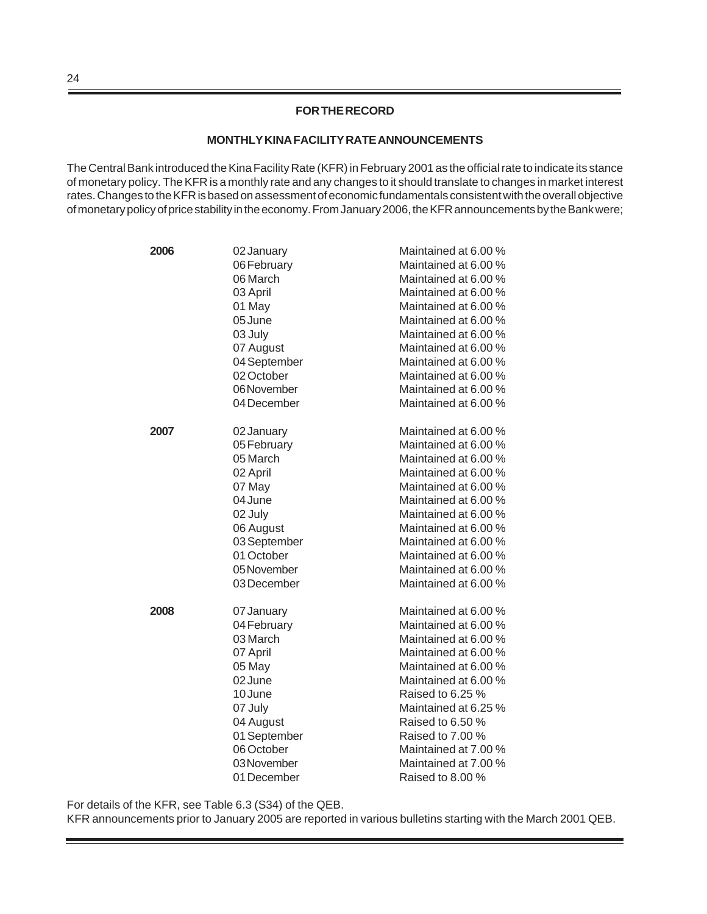# **FOR THE RECORD**

#### **MONTHLY KINA FACILITY RATE ANNOUNCEMENTS**

The Central Bank introduced the Kina Facility Rate (KFR) in February 2001 as the official rate to indicate its stance of monetary policy. The KFR is a monthly rate and any changes to it should translate to changes in market interest rates. Changes to the KFR is based on assessment of economic fundamentals consistent with the overall objective of monetary policy of price stability in the economy. From January 2006, the KFR announcements by the Bank were;

| 2006 | 02 January   | Maintained at 6.00 % |
|------|--------------|----------------------|
|      | 06 February  | Maintained at 6.00 % |
|      | 06 March     | Maintained at 6.00 % |
|      | 03 April     | Maintained at 6.00 % |
|      | 01 May       | Maintained at 6.00 % |
|      | 05 June      | Maintained at 6.00 % |
|      | 03 July      | Maintained at 6.00 % |
|      | 07 August    | Maintained at 6.00 % |
|      | 04 September | Maintained at 6.00 % |
|      | 02 October   | Maintained at 6.00 % |
|      | 06 November  | Maintained at 6.00 % |
|      | 04 December  | Maintained at 6.00 % |
| 2007 | 02 January   | Maintained at 6.00 % |
|      | 05 February  | Maintained at 6.00 % |
|      | 05 March     | Maintained at 6.00 % |
|      | 02 April     | Maintained at 6.00 % |
|      | 07 May       | Maintained at 6.00 % |
|      | 04 June      | Maintained at 6.00 % |
|      | 02 July      | Maintained at 6.00 % |
|      | 06 August    | Maintained at 6.00 % |
|      | 03 September | Maintained at 6.00 % |
|      | 01 October   | Maintained at 6.00 % |
|      | 05 November  | Maintained at 6.00 % |
|      | 03 December  | Maintained at 6.00 % |
| 2008 | 07 January   | Maintained at 6.00 % |
|      | 04 February  | Maintained at 6.00 % |
|      | 03 March     | Maintained at 6.00 % |
|      | 07 April     | Maintained at 6.00 % |
|      | 05 May       | Maintained at 6.00 % |
|      | 02 June      | Maintained at 6.00 % |
|      | 10 June      | Raised to 6.25 %     |
|      | 07 July      | Maintained at 6.25 % |
|      | 04 August    | Raised to 6.50 %     |
|      | 01 September | Raised to 7.00 %     |
|      | 06 October   | Maintained at 7.00 % |
|      | 03 November  | Maintained at 7.00 % |
|      | 01 December  | Raised to 8.00 %     |

For details of the KFR, see Table 6.3 (S34) of the QEB.

KFR announcements prior to January 2005 are reported in various bulletins starting with the March 2001 QEB.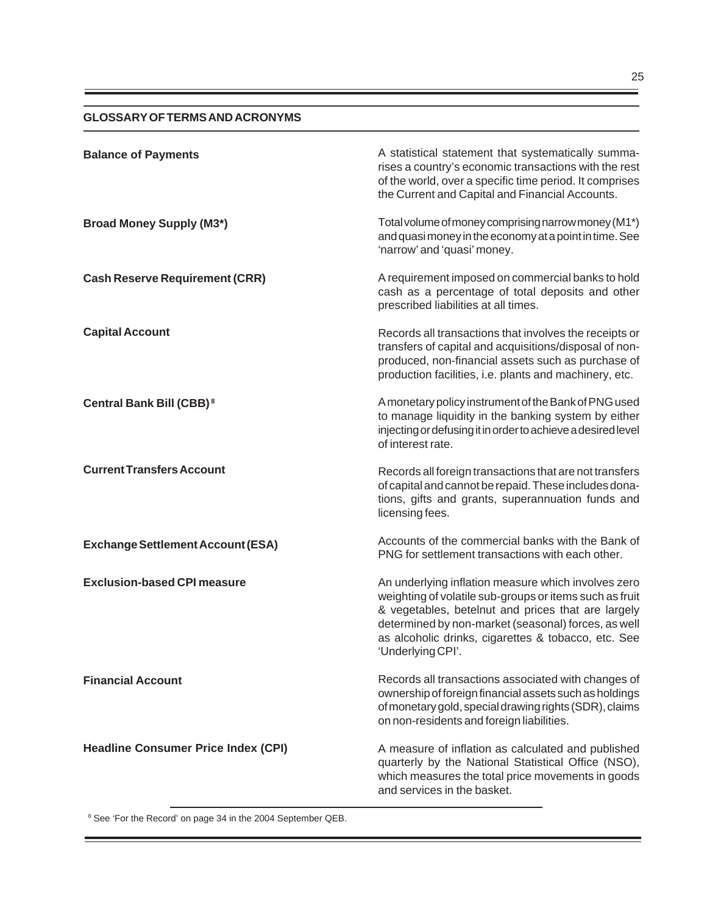# **GLOSSARY OF TERMS AND ACRONYMS**

| <b>Balance of Payments</b>                 | A statistical statement that systematically summa-<br>rises a country's economic transactions with the rest<br>of the world, over a specific time period. It comprises<br>the Current and Capital and Financial Accounts.                                                                               |
|--------------------------------------------|---------------------------------------------------------------------------------------------------------------------------------------------------------------------------------------------------------------------------------------------------------------------------------------------------------|
| <b>Broad Money Supply (M3*)</b>            | Total volume of money comprising narrow money (M1*)<br>and quasi money in the economy at a point in time. See<br>'narrow' and 'quasi' money.                                                                                                                                                            |
| <b>Cash Reserve Requirement (CRR)</b>      | A requirement imposed on commercial banks to hold<br>cash as a percentage of total deposits and other<br>prescribed liabilities at all times.                                                                                                                                                           |
| <b>Capital Account</b>                     | Records all transactions that involves the receipts or<br>transfers of capital and acquisitions/disposal of non-<br>produced, non-financial assets such as purchase of<br>production facilities, i.e. plants and machinery, etc.                                                                        |
| Central Bank Bill (CBB) <sup>8</sup>       | A monetary policy instrument of the Bank of PNG used<br>to manage liquidity in the banking system by either<br>injecting or defusing it in order to achieve a desired level<br>of interest rate.                                                                                                        |
| <b>Current Transfers Account</b>           | Records all foreign transactions that are not transfers<br>of capital and cannot be repaid. These includes dona-<br>tions, gifts and grants, superannuation funds and<br>licensing fees.                                                                                                                |
| <b>Exchange Settlement Account (ESA)</b>   | Accounts of the commercial banks with the Bank of<br>PNG for settlement transactions with each other.                                                                                                                                                                                                   |
| <b>Exclusion-based CPI measure</b>         | An underlying inflation measure which involves zero<br>weighting of volatile sub-groups or items such as fruit<br>& vegetables, betelnut and prices that are largely<br>determined by non-market (seasonal) forces, as well<br>as alcoholic drinks, cigarettes & tobacco, etc. See<br>'Underlying CPI'. |
| <b>Financial Account</b>                   | Records all transactions associated with changes of<br>ownership of foreign financial assets such as holdings<br>of monetary gold, special drawing rights (SDR), claims<br>on non-residents and foreign liabilities.                                                                                    |
| <b>Headline Consumer Price Index (CPI)</b> | A measure of inflation as calculated and published<br>quarterly by the National Statistical Office (NSO),<br>which measures the total price movements in goods<br>and services in the basket.                                                                                                           |

<sup>8</sup> See 'For the Record' on page 34 in the 2004 September QEB.

۳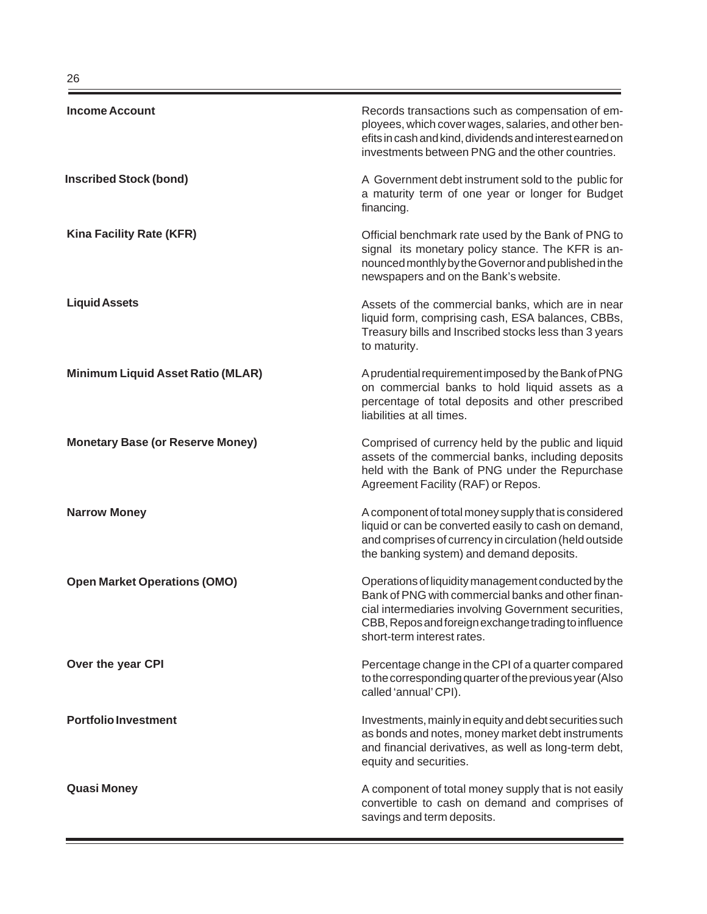| <b>Income Account</b>                    | Records transactions such as compensation of em-<br>ployees, which cover wages, salaries, and other ben-<br>efits in cash and kind, dividends and interest earned on<br>investments between PNG and the other countries.                                |
|------------------------------------------|---------------------------------------------------------------------------------------------------------------------------------------------------------------------------------------------------------------------------------------------------------|
| <b>Inscribed Stock (bond)</b>            | A Government debt instrument sold to the public for<br>a maturity term of one year or longer for Budget<br>financing.                                                                                                                                   |
| Kina Facility Rate (KFR)                 | Official benchmark rate used by the Bank of PNG to<br>signal its monetary policy stance. The KFR is an-<br>nounced monthly by the Governor and published in the<br>newspapers and on the Bank's website.                                                |
| <b>Liquid Assets</b>                     | Assets of the commercial banks, which are in near<br>liquid form, comprising cash, ESA balances, CBBs,<br>Treasury bills and Inscribed stocks less than 3 years<br>to maturity.                                                                         |
| <b>Minimum Liquid Asset Ratio (MLAR)</b> | A prudential requirement imposed by the Bank of PNG<br>on commercial banks to hold liquid assets as a<br>percentage of total deposits and other prescribed<br>liabilities at all times.                                                                 |
| <b>Monetary Base (or Reserve Money)</b>  | Comprised of currency held by the public and liquid<br>assets of the commercial banks, including deposits<br>held with the Bank of PNG under the Repurchase<br>Agreement Facility (RAF) or Repos.                                                       |
| <b>Narrow Money</b>                      | A component of total money supply that is considered<br>liquid or can be converted easily to cash on demand,<br>and comprises of currency in circulation (held outside<br>the banking system) and demand deposits.                                      |
| <b>Open Market Operations (OMO)</b>      | Operations of liquidity management conducted by the<br>Bank of PNG with commercial banks and other finan-<br>cial intermediaries involving Government securities,<br>CBB, Repos and foreign exchange trading to influence<br>short-term interest rates. |
| Over the year CPI                        | Percentage change in the CPI of a quarter compared<br>to the corresponding quarter of the previous year (Also<br>called 'annual' CPI).                                                                                                                  |
| <b>Portfolio Investment</b>              | Investments, mainly in equity and debt securities such<br>as bonds and notes, money market debt instruments<br>and financial derivatives, as well as long-term debt,<br>equity and securities.                                                          |
| <b>Quasi Money</b>                       | A component of total money supply that is not easily<br>convertible to cash on demand and comprises of<br>savings and term deposits.                                                                                                                    |

-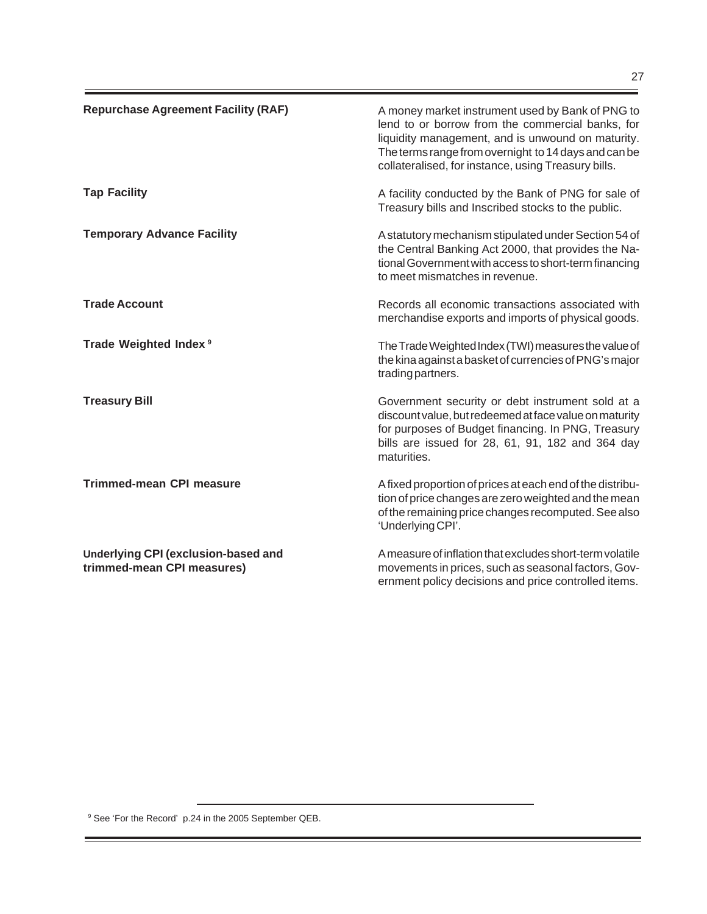| <b>Repurchase Agreement Facility (RAF)</b> | A money market instrument used by Bank of PNG to<br>lend to or borrow from the commercial banks, for<br>liquidity management, and is unwound on maturity.<br>The terms range from overnight to 14 days and can be<br>collateralised, for instance, using Treasury bills. |
|--------------------------------------------|--------------------------------------------------------------------------------------------------------------------------------------------------------------------------------------------------------------------------------------------------------------------------|
| <b>Tap Facility</b>                        | A facility conducted by the Bank of PNG for sale of<br>Treasury bills and Inscribed stocks to the public.                                                                                                                                                                |
| <b>Temporary Advance Facility</b>          | A statutory mechanism stipulated under Section 54 of<br>the Central Banking Act 2000, that provides the Na-<br>tional Government with access to short-term financing<br>to meet mismatches in revenue.                                                                   |
| <b>Trade Account</b>                       | Records all economic transactions associated with<br>merchandise exports and imports of physical goods.                                                                                                                                                                  |
| Trade Weighted Index <sup>9</sup>          | The Trade Weighted Index (TWI) measures the value of<br>the kina against a basket of currencies of PNG's major<br>trading partners.                                                                                                                                      |
| <b>Treasury Bill</b>                       | Government security or debt instrument sold at a<br>discount value, but redeemed at face value on maturity<br>for purposes of Budget financing. In PNG, Treasury<br>bills are issued for 28, 61, 91, 182 and 364 day<br>maturities.                                      |
| <b>Trimmed-mean CPI measure</b>            | A fixed proportion of prices at each end of the distribu-<br>tion of price changes are zero weighted and the mean                                                                                                                                                        |

'Underlying CPI'.

**Underlying CPI (exclusion-based and trimmed-mean CPI measures)**

A measure of inflation that excludes short-term volatile movements in prices, such as seasonal factors, Government policy decisions and price controlled items.

of the remaining price changes recomputed. See also

<sup>9</sup> See 'For the Record' p.24 in the 2005 September QEB.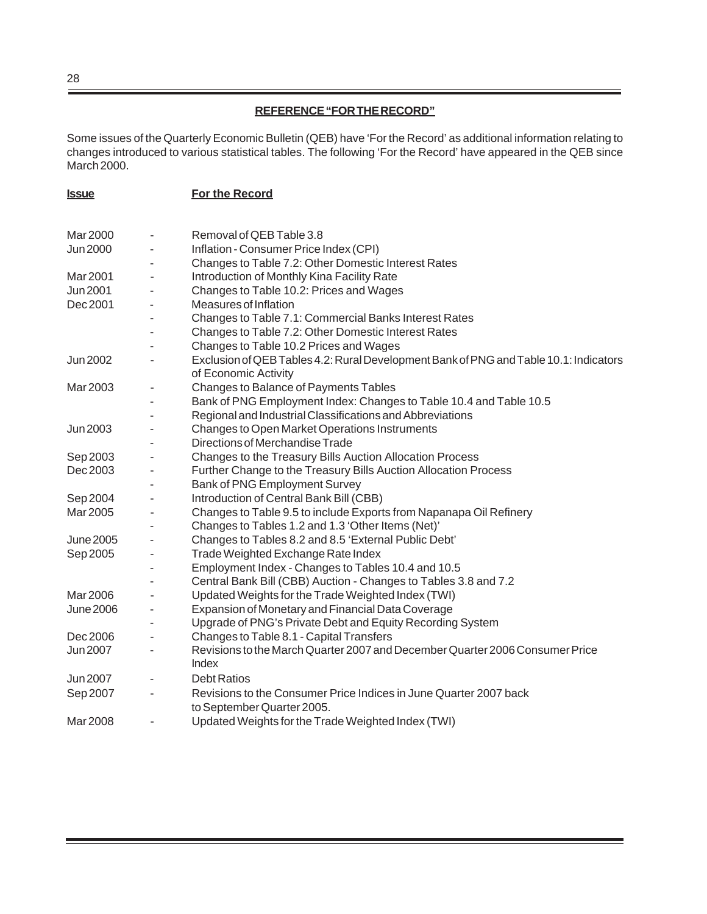# **REFERENCE "FOR THE RECORD"**

Some issues of the Quarterly Economic Bulletin (QEB) have 'For the Record' as additional information relating to changes introduced to various statistical tables. The following 'For the Record' have appeared in the QEB since March 2000.

| <u>Issue</u>     |                          | For the Record                                                                                                |
|------------------|--------------------------|---------------------------------------------------------------------------------------------------------------|
|                  |                          |                                                                                                               |
| Mar 2000         | $\overline{\phantom{m}}$ | Removal of QEB Table 3.8                                                                                      |
| <b>Jun 2000</b>  | $\blacksquare$           | Inflation - Consumer Price Index (CPI)                                                                        |
|                  |                          | Changes to Table 7.2: Other Domestic Interest Rates                                                           |
| Mar 2001         |                          | Introduction of Monthly Kina Facility Rate                                                                    |
| Jun 2001         |                          | Changes to Table 10.2: Prices and Wages                                                                       |
| Dec 2001         |                          | Measures of Inflation                                                                                         |
|                  |                          | Changes to Table 7.1: Commercial Banks Interest Rates                                                         |
|                  |                          | Changes to Table 7.2: Other Domestic Interest Rates                                                           |
|                  |                          | Changes to Table 10.2 Prices and Wages                                                                        |
| Jun 2002         |                          | Exclusion of QEB Tables 4.2: Rural Development Bank of PNG and Table 10.1: Indicators<br>of Economic Activity |
| Mar 2003         |                          | Changes to Balance of Payments Tables                                                                         |
|                  |                          | Bank of PNG Employment Index: Changes to Table 10.4 and Table 10.5                                            |
|                  |                          | Regional and Industrial Classifications and Abbreviations                                                     |
| Jun 2003         |                          | Changes to Open Market Operations Instruments                                                                 |
|                  |                          | Directions of Merchandise Trade                                                                               |
| Sep 2003         |                          | Changes to the Treasury Bills Auction Allocation Process                                                      |
| Dec 2003         |                          | Further Change to the Treasury Bills Auction Allocation Process                                               |
|                  |                          | Bank of PNG Employment Survey                                                                                 |
| Sep 2004         |                          | Introduction of Central Bank Bill (CBB)                                                                       |
| Mar 2005         |                          | Changes to Table 9.5 to include Exports from Napanapa Oil Refinery                                            |
|                  |                          | Changes to Tables 1.2 and 1.3 'Other Items (Net)'                                                             |
| <b>June 2005</b> |                          | Changes to Tables 8.2 and 8.5 'External Public Debt'                                                          |
| Sep 2005         |                          | Trade Weighted Exchange Rate Index                                                                            |
|                  |                          | Employment Index - Changes to Tables 10.4 and 10.5                                                            |
|                  |                          | Central Bank Bill (CBB) Auction - Changes to Tables 3.8 and 7.2                                               |
| Mar 2006         |                          | Updated Weights for the Trade Weighted Index (TWI)                                                            |
| <b>June 2006</b> |                          | Expansion of Monetary and Financial Data Coverage                                                             |
|                  |                          | Upgrade of PNG's Private Debt and Equity Recording System                                                     |
| Dec 2006         |                          | Changes to Table 8.1 - Capital Transfers                                                                      |
| Jun 2007         |                          | Revisions to the March Quarter 2007 and December Quarter 2006 Consumer Price<br>Index                         |
| Jun 2007         |                          | <b>Debt Ratios</b>                                                                                            |
| Sep 2007         |                          | Revisions to the Consumer Price Indices in June Quarter 2007 back<br>to September Quarter 2005.               |
| Mar 2008         |                          | Updated Weights for the Trade Weighted Index (TWI)                                                            |

28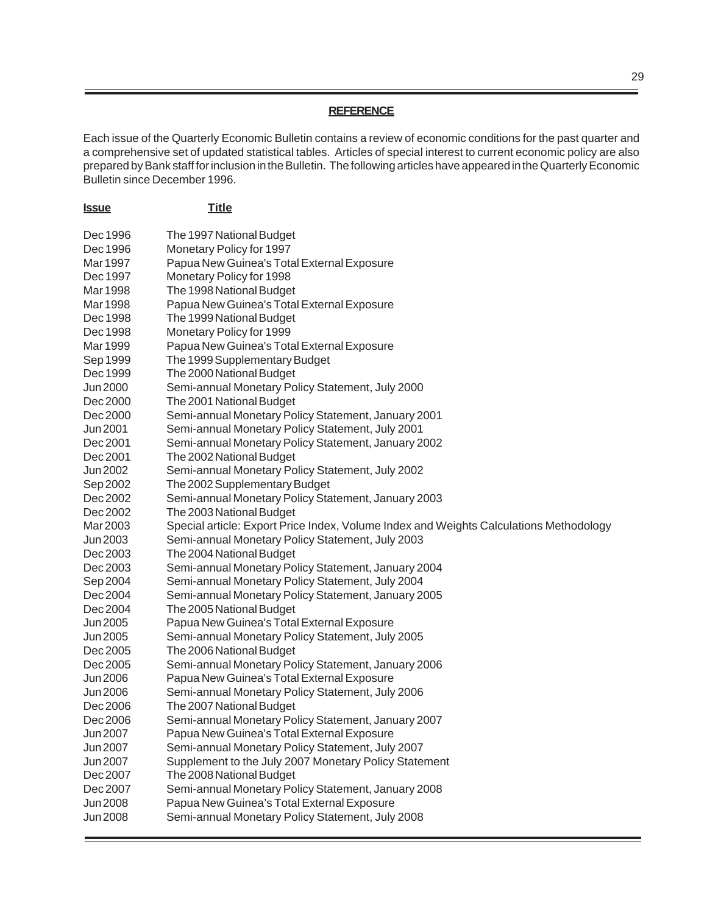# **REFERENCE**

Each issue of the Quarterly Economic Bulletin contains a review of economic conditions for the past quarter and a comprehensive set of updated statistical tables. Articles of special interest to current economic policy are also prepared by Bank staff for inclusion in the Bulletin. The following articles have appeared in the Quarterly Economic Bulletin since December 1996.

| <u><b>Issue</b></u> | <b>Title</b>                                                                           |
|---------------------|----------------------------------------------------------------------------------------|
| Dec 1996            | The 1997 National Budget                                                               |
| Dec 1996            | Monetary Policy for 1997                                                               |
| Mar 1997            | Papua New Guinea's Total External Exposure                                             |
| Dec 1997            | Monetary Policy for 1998                                                               |
| Mar 1998            | The 1998 National Budget                                                               |
| Mar 1998            | Papua New Guinea's Total External Exposure                                             |
| Dec 1998            | The 1999 National Budget                                                               |
| Dec 1998            | Monetary Policy for 1999                                                               |
| Mar 1999            | Papua New Guinea's Total External Exposure                                             |
| Sep 1999            | The 1999 Supplementary Budget                                                          |
| Dec 1999            | The 2000 National Budget                                                               |
| Jun 2000            | Semi-annual Monetary Policy Statement, July 2000                                       |
| Dec 2000            | The 2001 National Budget                                                               |
| Dec 2000            | Semi-annual Monetary Policy Statement, January 2001                                    |
| Jun 2001            | Semi-annual Monetary Policy Statement, July 2001                                       |
| Dec 2001            | Semi-annual Monetary Policy Statement, January 2002                                    |
| Dec 2001            | The 2002 National Budget                                                               |
| Jun 2002            | Semi-annual Monetary Policy Statement, July 2002                                       |
| Sep 2002            | The 2002 Supplementary Budget                                                          |
| Dec 2002            | Semi-annual Monetary Policy Statement, January 2003                                    |
| Dec 2002            | The 2003 National Budget                                                               |
| Mar 2003            | Special article: Export Price Index, Volume Index and Weights Calculations Methodology |
| Jun 2003            | Semi-annual Monetary Policy Statement, July 2003                                       |
| Dec 2003            | The 2004 National Budget                                                               |
| Dec 2003            | Semi-annual Monetary Policy Statement, January 2004                                    |
| Sep 2004            | Semi-annual Monetary Policy Statement, July 2004                                       |
| Dec 2004            | Semi-annual Monetary Policy Statement, January 2005                                    |
| Dec 2004            | The 2005 National Budget                                                               |
| Jun 2005            | Papua New Guinea's Total External Exposure                                             |
| Jun 2005            | Semi-annual Monetary Policy Statement, July 2005                                       |
| Dec 2005            | The 2006 National Budget                                                               |
| Dec 2005            | Semi-annual Monetary Policy Statement, January 2006                                    |
| Jun 2006            | Papua New Guinea's Total External Exposure                                             |
| Jun 2006            | Semi-annual Monetary Policy Statement, July 2006                                       |
| Dec 2006            | The 2007 National Budget                                                               |
| Dec 2006            | Semi-annual Monetary Policy Statement, January 2007                                    |
| Jun 2007            | Papua New Guinea's Total External Exposure                                             |
| Jun 2007            | Semi-annual Monetary Policy Statement, July 2007                                       |
| Jun 2007            | Supplement to the July 2007 Monetary Policy Statement                                  |
| Dec 2007            | The 2008 National Budget                                                               |
| Dec 2007            | Semi-annual Monetary Policy Statement, January 2008                                    |
| <b>Jun 2008</b>     | Papua New Guinea's Total External Exposure                                             |
| <b>Jun 2008</b>     | Semi-annual Monetary Policy Statement, July 2008                                       |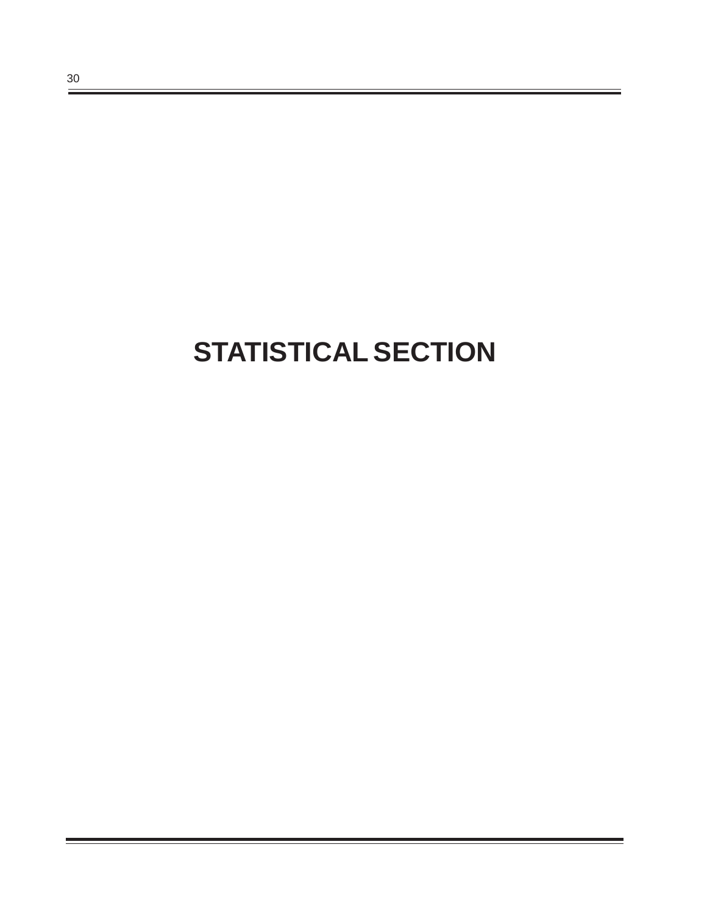# **STATISTICAL SECTION**